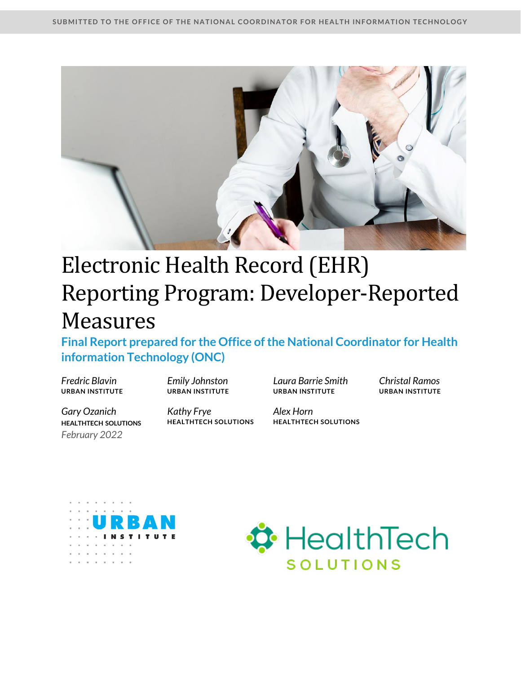

# Electronic Health Record (EHR) Reporting Program: Developer-Reported Measures

**Final Report prepared for the Office of the National Coordinator for Health information Technology (ONC)** 

*Fredric Blavin Emily Johnston Laura Barrie Smith Christal Ramos* **URBAN INSTITUTE URBAN INSTITUTE URBAN INSTITUTE URBAN INSTITUTE**

*Gary Ozanich*  **HEALTHTECH SOLUTIONS**  *February 2022*

*Kathy Frye Alex Horn*

**HEALTHTECH SOLUTIONS HEALTHTECH SOLUTIONS**



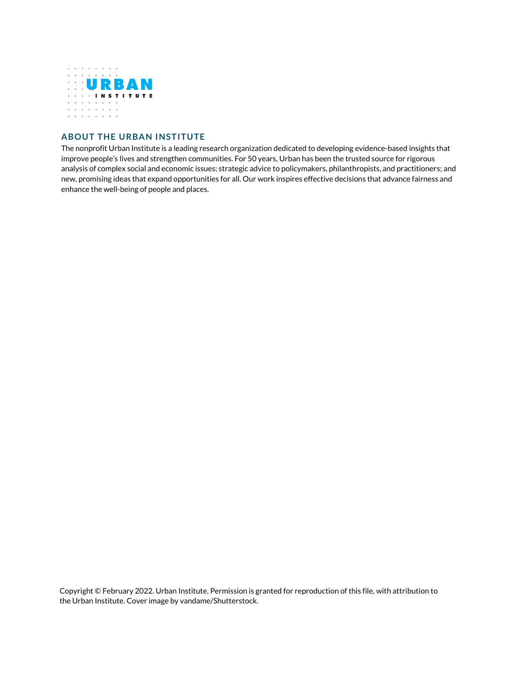

#### **ABOUT THE URBAN INSTITUTE**

The nonprofit Urban Institute is a leading research organization dedicated to developing evidence-based insights that improve people's lives and strengthen communities. For 50 years, Urban has been the trusted source for rigorous analysis of complex social and economic issues; strategic advice to policymakers, philanthropists, and practitioners; and new, promising ideas that expand opportunities for all. Our work inspires effective decisions that advance fairness and enhance the well-being of people and places.

Copyright © February 2022. Urban Institute. Permission is granted for reproduction of this file, with attribution to the Urban Institute. Cover image by vandame/Shutterstock.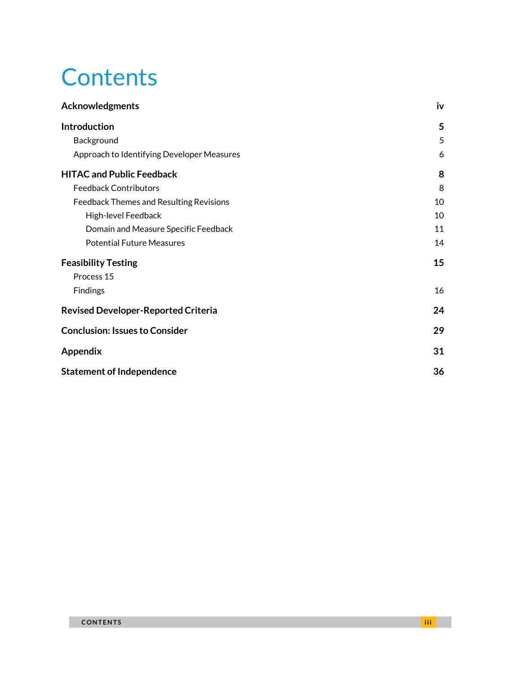# **Contents**

| <b>Acknowledgments</b>                     | iv |
|--------------------------------------------|----|
| <b>Introduction</b>                        | 5  |
| Background                                 | 5  |
| Approach to Identifying Developer Measures | 6  |
| <b>HITAC and Public Feedback</b>           | 8  |
| <b>Feedback Contributors</b>               | 8  |
| Feedback Themes and Resulting Revisions    | 10 |
| High-level Feedback                        | 10 |
| Domain and Measure Specific Feedback       | 11 |
| <b>Potential Future Measures</b>           | 14 |
| <b>Feasibility Testing</b>                 | 15 |
| Process 15                                 |    |
| Findings                                   | 16 |
| <b>Revised Developer-Reported Criteria</b> | 24 |
| <b>Conclusion: Issues to Consider</b>      | 29 |
| <b>Appendix</b>                            | 31 |
| <b>Statement of Independence</b>           | 36 |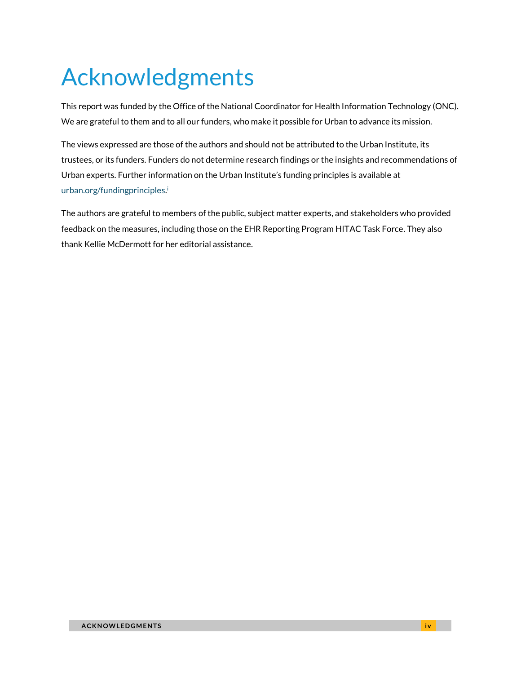# <span id="page-3-0"></span>Acknowledgments

This report was funded by the Office of the National Coordinator for Health Information Technology (ONC). We are grateful to them and to all our funders, who make it possible for Urban to advance its mission.

The views expressed are those of the authors and should not be attributed to the Urban Institute, its trustees, or its funders. Funders do not determine research findings or the insights and recommendations of Urban experts. Further information on the Urban Institute's funding principles is available at [urban.org/fundingprinciples](https://www.urban.org/aboutus/our-funding/funding-principles)[.](#page-34-0)<sup>i</sup>

The authors are grateful to members of the public, subject matter experts, and stakeholders who provided feedback on the measures, including those on the EHR Reporting Program HITAC Task Force. They also thank Kellie McDermott for her editorial assistance.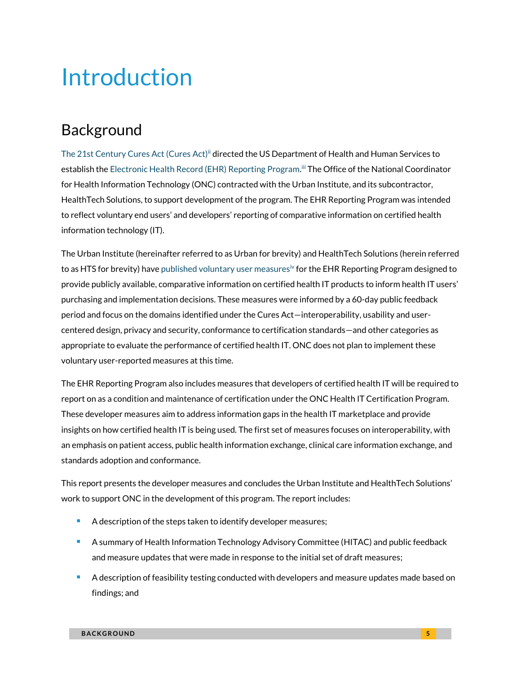# <span id="page-4-0"></span>Introduction

## <span id="page-4-1"></span>Background

[The 21st Century Cures Act \(Cures Act\)](https://www.federalregister.gov/documents/2020/05/01/2020-07419/21st-century-cures-act-interoperability-information-blocking-and-the-onc-health-it-certification)<sup>ii</sup> directed the US Department of Health and Human Services to establish th[e Electronic Health Record \(EHR\) Reporting Program.](https://www.healthit.gov/topic/certification-health-it/ehr-reporting-program) [iii](#page-34-0) The Office of the National Coordinator for Health Information Technology (ONC) contracted with the Urban Institute, and its subcontractor, HealthTech Solutions, to support development of the program. The EHR Reporting Program was intended to reflect voluntary end users' and developers' reporting of comparative information on certified health information technology (IT).

The Urban Institute (hereinafter referred to as Urban for brevity) and HealthTech Solutions (herein referred to as HTS for brevity) hav[e published voluntary user measures](https://www.urban.org/research/publication/electronic-health-record-reporting-program-voluntary-user-reported-criteria)<sup>[iv](#page-34-0)</sup> for the EHR Reporting Program designed to provide publicly available, comparative information on certified health IT products to inform health IT users' purchasing and implementation decisions. These measures were informed by a 60-day public feedback period and focus on the domains identified under the Cures Act—interoperability, usability and usercentered design, privacy and security, conformance to certification standards—and other categories as appropriate to evaluate the performance of certified health IT. ONC does not plan to implement these voluntary user-reported measures at this time.

The EHR Reporting Program also includes measures that developers of certified health IT will be required to report on as a condition and maintenance of certification under the ONC Health IT Certification Program. These developer measures aim to address information gaps in the health IT marketplace and provide insights on how certified health IT is being used. The first set of measures focuses on interoperability, with an emphasis on patient access, public health information exchange, clinical care information exchange, and standards adoption and conformance.

This report presents the developer measures and concludes the Urban Institute and HealthTech Solutions' work to support ONC in the development of this program. The report includes:

- A description of the steps taken to identify developer measures;
- A summary of Health Information Technology Advisory Committee (HITAC) and public feedback and measure updates that were made in response to the initial set of draft measures;
- A description of feasibility testing conducted with developers and measure updates made based on findings; and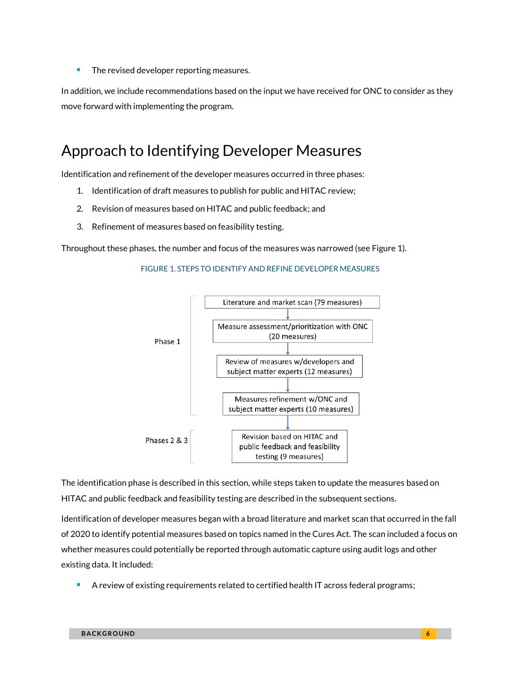■ The revised developer reporting measures.

In addition, we include recommendations based on the input we have received for ONC to consider as they move forward with implementing the program.

## <span id="page-5-0"></span>Approach to Identifying Developer Measures

Identification and refinement of the developer measures occurred in three phases:

- 1. Identification of draft measures to publish for public and HITAC review;
- 2. Revision of measures based on HITAC and public feedback; and
- 3. Refinement of measures based on feasibility testing.

Throughout these phases, the number and focus of the measures was narrowed (see Figure 1).

#### FIGURE 1. STEPS TO IDENTIFY AND REFINE DEVELOPER MEASURES



The identification phase is described in this section, while steps taken to update the measures based on HITAC and public feedback and feasibility testing are described in the subsequent sections.

Identification of developer measures began with a broad literature and market scan that occurred in the fall of 2020 to identify potential measures based on topics named in the Cures Act. The scan included a focus on whether measures could potentially be reported through automatic capture using audit logs and other existing data. It included:

■ A review of existing requirements related to certified health IT across federal programs;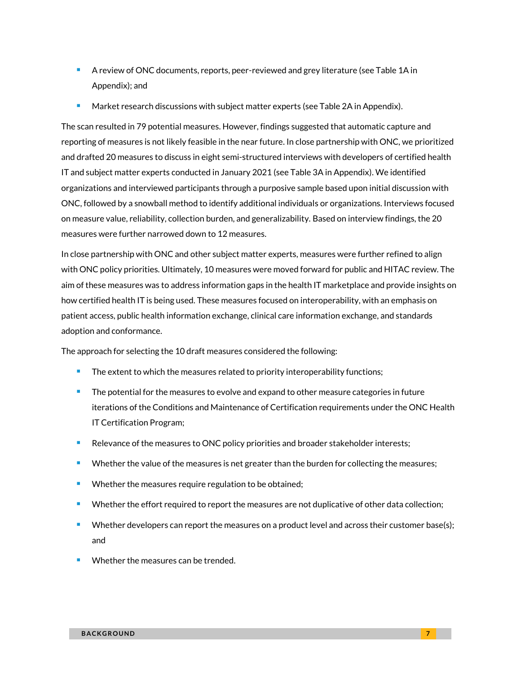- A review of ONC documents, reports, peer-reviewed and grey literature (see Table 1A in Appendix); and
- Market research discussions with subject matter experts (see Table 2A in Appendix).

The scan resulted in 79 potential measures. However, findings suggested that automatic capture and reporting of measures is not likely feasible in the near future. In close partnership with ONC, we prioritized and drafted 20 measures to discuss in eight semi-structured interviews with developers of certified health IT and subject matter experts conducted in January 2021 (see Table 3A in Appendix). We identified organizations and interviewed participants through a purposive sample based upon initial discussion with ONC, followed by a snowball method to identify additional individuals or organizations. Interviews focused on measure value, reliability, collection burden, and generalizability. Based on interview findings, the 20 measures were further narrowed down to 12 measures.

In close partnership with ONC and other subject matter experts, measures were further refined to align with ONC policy priorities. Ultimately, 10 measures were moved forward for public and HITAC review. The aim of these measures was to address information gaps in the health IT marketplace and provide insights on how certified health IT is being used. These measures focused on interoperability, with an emphasis on patient access, public health information exchange, clinical care information exchange, and standards adoption and conformance.

The approach for selecting the 10 draft measures considered the following:

- The extent to which the measures related to priority interoperability functions;
- The potential for the measures to evolve and expand to other measure categories in future iterations of the Conditions and Maintenance of Certification requirements under the ONC Health IT Certification Program;
- Relevance of the measures to ONC policy priorities and broader stakeholder interests;
- Whether the value of the measures is net greater than the burden for collecting the measures;
- Whether the measures require regulation to be obtained;
- Whether the effort required to report the measures are not duplicative of other data collection;
- Whether developers can report the measures on a product level and across their customer base(s); and
- Whether the measures can be trended.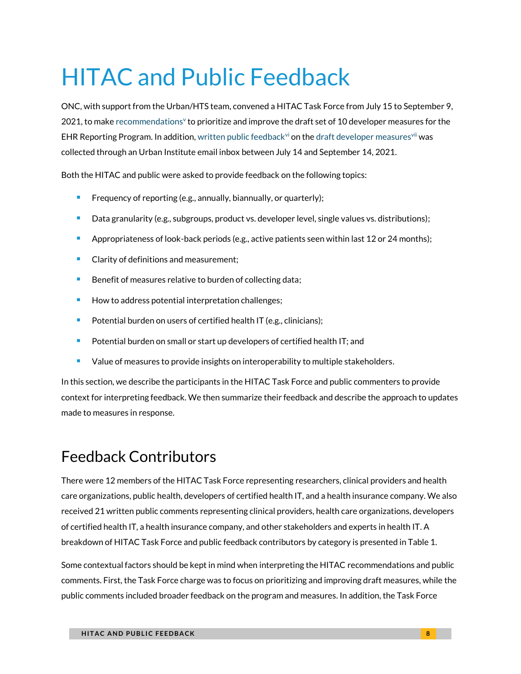# <span id="page-7-0"></span>HITAC and Public Feedback

ONC, with support from the Urban/HTS team, convened a HITAC Task Force from July 15 to September 9,  $2021$ , to mak[e recommendations](https://www.healthit.gov/sites/default/files/page/2021-10/2021-09-09_EHRRP_TF_2021__HITAC%20Recommendations_Report_signed_508.pdf)<sup>[v](#page-34-0)</sup> to prioritize and improve the draft set of 10 developer measures for the EHR Reporting Program. In addition[, written public feedback](https://www.urban.org/sites/default/files/2021/10/05/electronic_health_record_ehr_draft_developer-reported_public_comments.pdf)<sup>yi</sup> on the draft developer measures<sup>[vi](#page-34-0)i</sup> was collected through an Urban Institute email inbox between July 14 and September 14, 2021.

Both the HITAC and public were asked to provide feedback on the following topics:

- Frequency of reporting (e.g., annually, biannually, or quarterly);
- Data granularity (e.g., subgroups, product vs. developer level, single values vs. distributions);
- Appropriateness of look-back periods (e.g., active patients seen within last 12 or 24 months);
- Clarity of definitions and measurement;
- Benefit of measures relative to burden of collecting data;
- How to address potential interpretation challenges;
- Potential burden on users of certified health IT (e.g., clinicians);
- Potential burden on small or start up developers of certified health IT; and
- Value of measures to provide insights on interoperability to multiple stakeholders.

In this section, we describe the participants in the HITAC Task Force and public commenters to provide context for interpreting feedback. We then summarize their feedback and describe the approach to updates made to measures in response.

## <span id="page-7-1"></span>Feedback Contributors

There were 12 members of the HITAC Task Force representing researchers, clinical providers and health care organizations, public health, developers of certified health IT, and a health insurance company. We also received 21 written public comments representing clinical providers, health care organizations, developers of certified health IT, a health insurance company, and other stakeholders and experts in health IT. A breakdown of HITAC Task Force and public feedback contributors by category is presented in Table 1.

Some contextual factors should be kept in mind when interpreting the HITAC recommendations and public comments. First, the Task Force charge was to focus on prioritizing and improving draft measures, while the public comments included broader feedback on the program and measures. In addition, the Task Force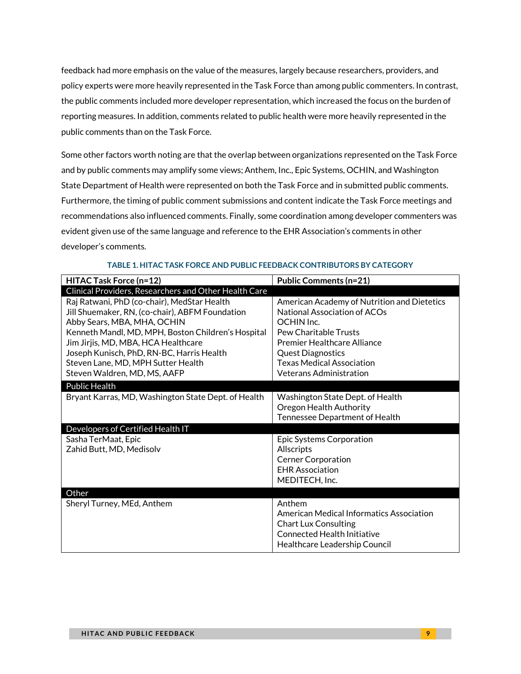feedback had more emphasis on the value of the measures, largely because researchers, providers, and policy experts were more heavily represented in the Task Force than among public commenters. In contrast, the public comments included more developer representation, which increased the focus on the burden of reporting measures. In addition, comments related to public health were more heavily represented in the public comments than on the Task Force.

Some other factors worth noting are that the overlap between organizations represented on the Task Force and by public comments may amplify some views; Anthem, Inc., Epic Systems, OCHIN, and Washington State Department of Health were represented on both the Task Force and in submitted public comments. Furthermore, the timing of public comment submissions and content indicate the Task Force meetings and recommendations also influenced comments. Finally, some coordination among developer commenters was evident given use of the same language and reference to the EHR Association's comments in other developer's comments.

| HITAC Task Force (n=12)                                                                                                                                                                                                                                                                                                                       | <b>Public Comments (n=21)</b>                                                                                                                                                                                                                              |
|-----------------------------------------------------------------------------------------------------------------------------------------------------------------------------------------------------------------------------------------------------------------------------------------------------------------------------------------------|------------------------------------------------------------------------------------------------------------------------------------------------------------------------------------------------------------------------------------------------------------|
| Clinical Providers, Researchers and Other Health Care                                                                                                                                                                                                                                                                                         |                                                                                                                                                                                                                                                            |
| Raj Ratwani, PhD (co-chair), MedStar Health<br>Jill Shuemaker, RN, (co-chair), ABFM Foundation<br>Abby Sears, MBA, MHA, OCHIN<br>Kenneth Mandl, MD, MPH, Boston Children's Hospital<br>Jim Jirjis, MD, MBA, HCA Healthcare<br>Joseph Kunisch, PhD, RN-BC, Harris Health<br>Steven Lane, MD, MPH Sutter Health<br>Steven Waldren, MD, MS, AAFP | American Academy of Nutrition and Dietetics<br>National Association of ACOs<br>OCHIN Inc.<br>Pew Charitable Trusts<br><b>Premier Healthcare Alliance</b><br><b>Quest Diagnostics</b><br><b>Texas Medical Association</b><br><b>Veterans Administration</b> |
| <b>Public Health</b>                                                                                                                                                                                                                                                                                                                          |                                                                                                                                                                                                                                                            |
| Bryant Karras, MD, Washington State Dept. of Health                                                                                                                                                                                                                                                                                           | Washington State Dept. of Health<br>Oregon Health Authority<br>Tennessee Department of Health                                                                                                                                                              |
| Developers of Certified Health IT                                                                                                                                                                                                                                                                                                             |                                                                                                                                                                                                                                                            |
| Sasha TerMaat, Epic<br>Zahid Butt, MD, Medisolv                                                                                                                                                                                                                                                                                               | Epic Systems Corporation<br>Allscripts<br><b>Cerner Corporation</b><br><b>EHR Association</b><br>MEDITECH, Inc.                                                                                                                                            |
| Other                                                                                                                                                                                                                                                                                                                                         |                                                                                                                                                                                                                                                            |
| Sheryl Turney, MEd, Anthem                                                                                                                                                                                                                                                                                                                    | Anthem<br>American Medical Informatics Association<br><b>Chart Lux Consulting</b><br><b>Connected Health Initiative</b><br>Healthcare Leadership Council                                                                                                   |

#### **TABLE 1. HITAC TASK FORCE AND PUBLIC FEEDBACK CONTRIBUTORS BY CATEGORY**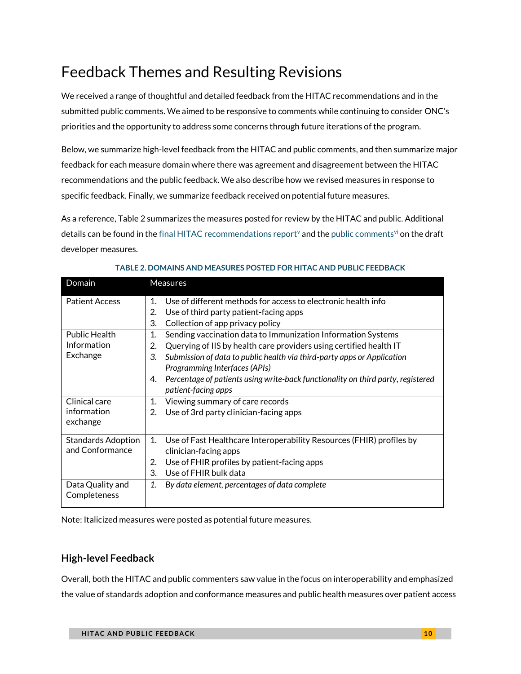# <span id="page-9-0"></span>Feedback Themes and Resulting Revisions

We received a range of thoughtful and detailed feedback from the HITAC recommendations and in the submitted public comments. We aimed to be responsive to comments while continuing to consider ONC's priorities and the opportunity to address some concerns through future iterations of the program.

Below, we summarize high-level feedback from the HITAC and public comments, and then summarize major feedback for each measure domain where there was agreement and disagreement between the HITAC recommendations and the public feedback. We also describe how we revised measures in response to specific feedback. Finally, we summarize feedback received on potential future measures.

As a reference, Table 2 summarizes the measures posted for review by the HITAC and public. Additional details can be found in the [final HITAC recommendations report](https://www.healthit.gov/sites/default/files/page/2021-10/2021-09-09_EHRRP_TF_2021__HITAC%20Recommendations_Report_signed_508.pdf)<sup>y</sup> and th[e public comments](https://www.urban.org/sites/default/files/2021/10/05/electronic_health_record_ehr_draft_developer-reported_public_comments.pdf)<sup>[vi](#page-34-0)</sup> on the draft developer measures.

| Domain                    | <b>Measures</b>                                                                        |
|---------------------------|----------------------------------------------------------------------------------------|
| <b>Patient Access</b>     | Use of different methods for access to electronic health info<br>1.                    |
|                           | Use of third party patient-facing apps<br>2.                                           |
|                           | 3.<br>Collection of app privacy policy                                                 |
| <b>Public Health</b>      | Sending vaccination data to Immunization Information Systems<br>1.                     |
| Information               | Querying of IIS by health care providers using certified health IT<br>2.               |
| Exchange                  | Submission of data to public health via third-party apps or Application<br>3.          |
|                           | Programming Interfaces (APIs)                                                          |
|                           | Percentage of patients using write-back functionality on third party, registered<br>4. |
|                           | patient-facing apps                                                                    |
| Clinical care             | Viewing summary of care records<br>1.                                                  |
| information               | Use of 3rd party clinician-facing apps<br>2.                                           |
| exchange                  |                                                                                        |
| <b>Standards Adoption</b> | Use of Fast Healthcare Interoperability Resources (FHIR) profiles by<br>1.             |
| and Conformance           | clinician-facing apps                                                                  |
|                           | Use of FHIR profiles by patient-facing apps<br>2.                                      |
|                           | Use of FHIR bulk data<br>3.                                                            |
| Data Quality and          | By data element, percentages of data complete<br>1.                                    |
| Completeness              |                                                                                        |
|                           |                                                                                        |

### **TABLE 2. DOMAINS AND MEASURES POSTED FOR HITAC AND PUBLIC FEEDBACK**

<span id="page-9-1"></span>Note: Italicized measures were posted as potential future measures.

### **High-level Feedback**

Overall, both the HITAC and public commenters saw value in the focus on interoperability and emphasized the value of standards adoption and conformance measures and public health measures over patient access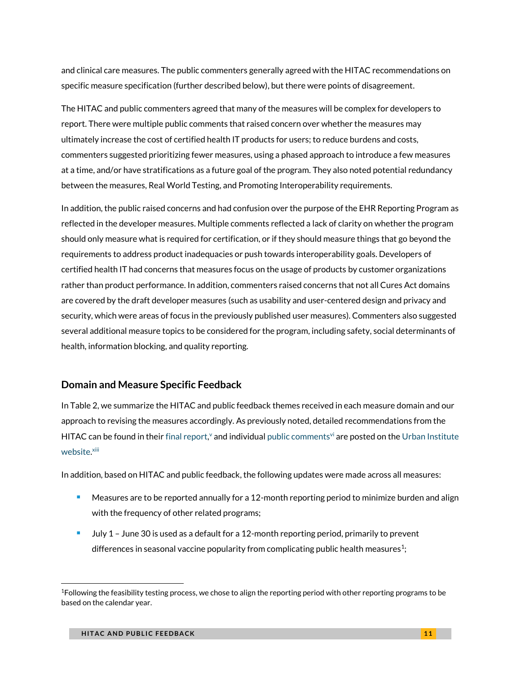and clinical care measures. The public commenters generally agreed with the HITAC recommendations on specific measure specification (further described below), but there were points of disagreement.

The HITAC and public commenters agreed that many of the measures will be complex for developers to report. There were multiple public comments that raised concern over whether the measures may ultimately increase the cost of certified health IT products for users; to reduce burdens and costs, commenters suggested prioritizing fewer measures, using a phased approach to introduce a few measures at a time, and/or have stratifications as a future goal of the program. They also noted potential redundancy between the measures, Real World Testing, and Promoting Interoperability requirements.

In addition, the public raised concerns and had confusion over the purpose of the EHR Reporting Program as reflected in the developer measures. Multiple comments reflected a lack of clarity on whether the program should only measure what is required for certification, or if they should measure things that go beyond the requirements to address product inadequacies or push towards interoperability goals. Developers of certified health IT had concerns that measures focus on the usage of products by customer organizations rather than product performance. In addition, commenters raised concerns that not all Cures Act domains are covered by the draft developer measures (such as usability and user-centered design and privacy and security, which were areas of focus in the previously published user measures). Commenters also suggested several additional measure topics to be considered for the program, including safety, social determinants of health, information blocking, and quality reporting.

### <span id="page-10-0"></span>**Domain and Measure Specific Feedback**

In Table 2, we summarize the HITAC and public feedback themes received in each measure domain and our approach to revising the measures accordingly. As previously noted, detailed recommendations from the HITAC can be found in their [final report,](https://www.healthit.gov/sites/default/files/page/2021-10/2021-09-09_EHRRP_TF_2021__HITAC%20Recommendations_Report_signed_508.pdf)<sup>[v](#page-34-0)</sup> and individua[l public comments](https://www.urban.org/sites/default/files/2021/10/05/electronic_health_record_ehr_draft_developer-reported_public_comments.pdf)<sup>[vi](#page-34-0)</sup> are posted on the Urban Institute [website.](https://www.urban.org/policy-centers/health-policy-center/projects/ehr-reporting-program)<sup>[xiii](#page-34-0)</sup>

In addition, based on HITAC and public feedback, the following updates were made across all measures:

- Measures are to be reported annually for a 12-month reporting period to minimize burden and align with the frequency of other related programs;
- <sup>◼</sup> July 1 June 30 is used as a default for a 12-month reporting period, primarily to prevent differences in seasonal vaccine popularity from complicating public health measures $^1;$

<sup>1</sup>Following the feasibility testing process, we chose to align the reporting period with other reporting programs to be based on the calendar year.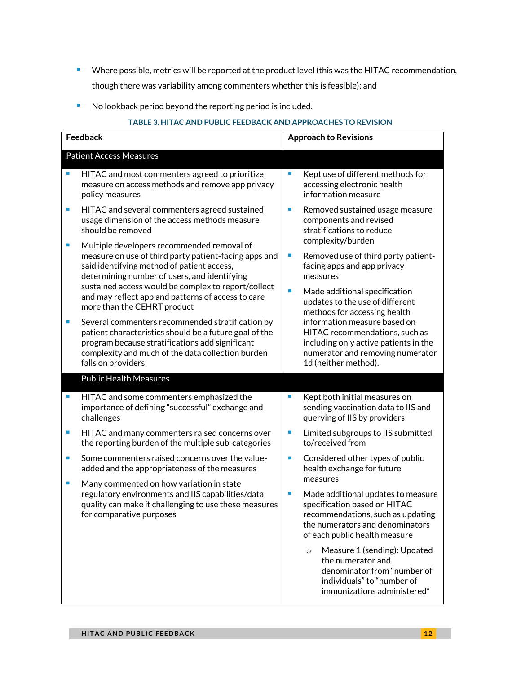- Where possible, metrics will be reported at the product level (this was the HITAC recommendation, though there was variability among commenters whether this is feasible); and
- No lookback period beyond the reporting period is included.

#### **TABLE 3. HITAC AND PUBLIC FEEDBACK AND APPROACHES TO REVISION**

| <b>Feedback</b> |                                                                                                                                                                                                                                                          |    | <b>Approach to Revisions</b>                                                                                                                                        |
|-----------------|----------------------------------------------------------------------------------------------------------------------------------------------------------------------------------------------------------------------------------------------------------|----|---------------------------------------------------------------------------------------------------------------------------------------------------------------------|
|                 | <b>Patient Access Measures</b>                                                                                                                                                                                                                           |    |                                                                                                                                                                     |
| п               | HITAC and most commenters agreed to prioritize<br>measure on access methods and remove app privacy<br>policy measures                                                                                                                                    | п  | Kept use of different methods for<br>accessing electronic health<br>information measure                                                                             |
| ×               | HITAC and several commenters agreed sustained<br>usage dimension of the access methods measure<br>should be removed                                                                                                                                      | F  | Removed sustained usage measure<br>components and revised<br>stratifications to reduce                                                                              |
| п               | Multiple developers recommended removal of<br>measure on use of third party patient-facing apps and<br>said identifying method of patient access,<br>determining number of users, and identifying<br>sustained access would be complex to report/collect | o. | complexity/burden<br>Removed use of third party patient-<br>facing apps and app privacy<br>measures                                                                 |
|                 | and may reflect app and patterns of access to care<br>more than the CEHRT product                                                                                                                                                                        | ×  | Made additional specification<br>updates to the use of different<br>methods for accessing health                                                                    |
| r.              | Several commenters recommended stratification by<br>patient characteristics should be a future goal of the<br>program because stratifications add significant<br>complexity and much of the data collection burden<br>falls on providers                 |    | information measure based on<br>HITAC recommendations, such as<br>including only active patients in the<br>numerator and removing numerator<br>1d (neither method). |
|                 | <b>Public Health Measures</b>                                                                                                                                                                                                                            |    |                                                                                                                                                                     |
| I.              | HITAC and some commenters emphasized the<br>importance of defining "successful" exchange and<br>challenges                                                                                                                                               | F  | Kept both initial measures on<br>sending vaccination data to IIS and<br>querying of IIS by providers                                                                |
| ×               | HITAC and many commenters raised concerns over<br>the reporting burden of the multiple sub-categories                                                                                                                                                    | F  | Limited subgroups to IIS submitted<br>to/received from                                                                                                              |
| $\blacksquare$  | Some commenters raised concerns over the value-<br>added and the appropriateness of the measures                                                                                                                                                         |    | Considered other types of public<br>health exchange for future                                                                                                      |
| ×               | Many commented on how variation in state<br>regulatory environments and IIS capabilities/data                                                                                                                                                            | П  | measures<br>Made additional updates to measure                                                                                                                      |
|                 | quality can make it challenging to use these measures<br>for comparative purposes                                                                                                                                                                        |    | specification based on HITAC<br>recommendations, such as updating<br>the numerators and denominators<br>of each public health measure                               |
|                 |                                                                                                                                                                                                                                                          |    | Measure 1 (sending): Updated<br>$\circ$<br>the numerator and<br>denominator from "number of<br>individuals" to "number of<br>immunizations administered"            |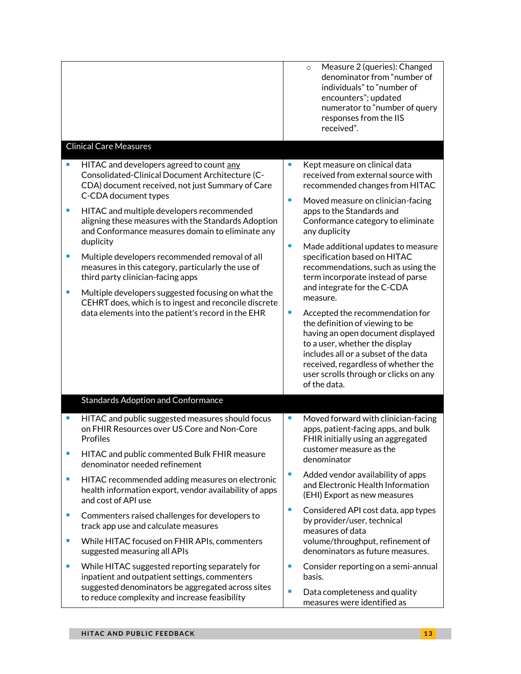|                                                                                                    |                                                                                                                                                                   |    | Measure 2 (queries): Changed<br>$\circ$<br>denominator from "number of<br>individuals" to "number of<br>encounters"; updated<br>numerator to "number of query<br>responses from the IIS<br>received".                                                                             |
|----------------------------------------------------------------------------------------------------|-------------------------------------------------------------------------------------------------------------------------------------------------------------------|----|-----------------------------------------------------------------------------------------------------------------------------------------------------------------------------------------------------------------------------------------------------------------------------------|
|                                                                                                    | <b>Clinical Care Measures</b>                                                                                                                                     |    |                                                                                                                                                                                                                                                                                   |
| п                                                                                                  | HITAC and developers agreed to count any<br>Consolidated-Clinical Document Architecture (C-<br>CDA) document received, not just Summary of Care                   | ×  | Kept measure on clinical data<br>received from external source with<br>recommended changes from HITAC                                                                                                                                                                             |
|                                                                                                    | C-CDA document types                                                                                                                                              | П  | Moved measure on clinician-facing                                                                                                                                                                                                                                                 |
| п                                                                                                  | HITAC and multiple developers recommended<br>aligning these measures with the Standards Adoption<br>and Conformance measures domain to eliminate any<br>duplicity |    | apps to the Standards and<br>Conformance category to eliminate<br>any duplicity                                                                                                                                                                                                   |
| п                                                                                                  | Multiple developers recommended removal of all<br>measures in this category, particularly the use of<br>third party clinician-facing apps                         | ×  | Made additional updates to measure<br>specification based on HITAC<br>recommendations, such as using the<br>term incorporate instead of parse                                                                                                                                     |
| п                                                                                                  | Multiple developers suggested focusing on what the<br>CEHRT does, which is to ingest and reconcile discrete                                                       |    | and integrate for the C-CDA<br>measure.                                                                                                                                                                                                                                           |
|                                                                                                    | data elements into the patient's record in the EHR                                                                                                                | ×. | Accepted the recommendation for<br>the definition of viewing to be<br>having an open document displayed<br>to a user, whether the display<br>includes all or a subset of the data<br>received, regardless of whether the<br>user scrolls through or clicks on any<br>of the data. |
|                                                                                                    | <b>Standards Adoption and Conformance</b>                                                                                                                         |    |                                                                                                                                                                                                                                                                                   |
| ш                                                                                                  | HITAC and public suggested measures should focus<br>on FHIR Resources over US Core and Non-Core<br>Profiles                                                       | П  | Moved forward with clinician-facing<br>apps, patient-facing apps, and bulk<br>FHIR initially using an aggregated                                                                                                                                                                  |
| П                                                                                                  | HITAC and public commented Bulk FHIR measure<br>denominator needed refinement                                                                                     |    | customer measure as the<br>denominator                                                                                                                                                                                                                                            |
| ш                                                                                                  | HITAC recommended adding measures on electronic<br>health information export, vendor availability of apps<br>and cost of API use                                  | ×  | Added vendor availability of apps<br>and Electronic Health Information<br>(EHI) Export as new measures                                                                                                                                                                            |
| ш                                                                                                  | Commenters raised challenges for developers to<br>track app use and calculate measures                                                                            | ×. | Considered API cost data, app types<br>by provider/user, technical<br>measures of data                                                                                                                                                                                            |
| ш                                                                                                  | While HITAC focused on FHIR APIs, commenters<br>suggested measuring all APIs                                                                                      |    | volume/throughput, refinement of<br>denominators as future measures.                                                                                                                                                                                                              |
| п                                                                                                  | While HITAC suggested reporting separately for<br>inpatient and outpatient settings, commenters                                                                   | ш  | Consider reporting on a semi-annual<br>basis.                                                                                                                                                                                                                                     |
| suggested denominators be aggregated across sites<br>to reduce complexity and increase feasibility |                                                                                                                                                                   | ×  | Data completeness and quality<br>measures were identified as                                                                                                                                                                                                                      |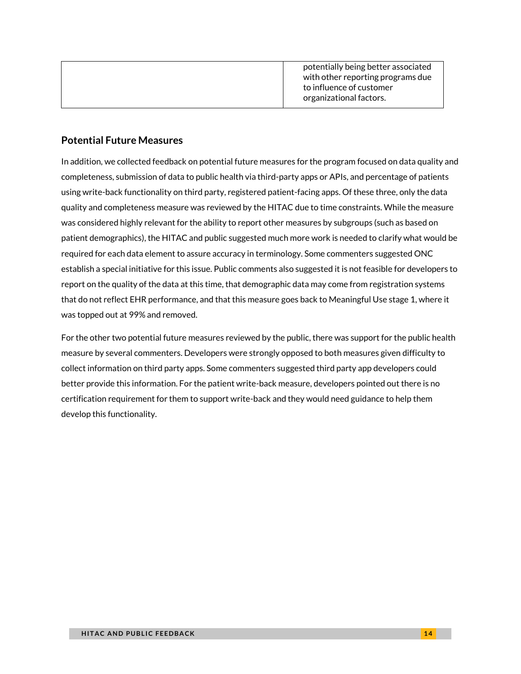|  | potentially being better associated<br>with other reporting programs due<br>to influence of customer<br>organizational factors. |
|--|---------------------------------------------------------------------------------------------------------------------------------|
|--|---------------------------------------------------------------------------------------------------------------------------------|

## <span id="page-13-0"></span>**Potential Future Measures**

In addition, we collected feedback on potential future measures for the program focused on data quality and completeness, submission of data to public health via third-party apps or APIs, and percentage of patients using write-back functionality on third party, registered patient-facing apps. Of these three, only the data quality and completeness measure was reviewed by the HITAC due to time constraints. While the measure was considered highly relevant for the ability to report other measures by subgroups (such as based on patient demographics), the HITAC and public suggested much more work is needed to clarify what would be required for each data element to assure accuracy in terminology. Some commenters suggested ONC establish a special initiative for this issue. Public comments also suggested it is not feasible for developers to report on the quality of the data at this time, that demographic data may come from registration systems that do not reflect EHR performance, and that this measure goes back to Meaningful Use stage 1, where it was topped out at 99% and removed.

For the other two potential future measures reviewed by the public, there was support for the public health measure by several commenters. Developers were strongly opposed to both measures given difficulty to collect information on third party apps. Some commenters suggested third party app developers could better provide this information. For the patient write-back measure, developers pointed out there is no certification requirement for them to support write-back and they would need guidance to help them develop this functionality.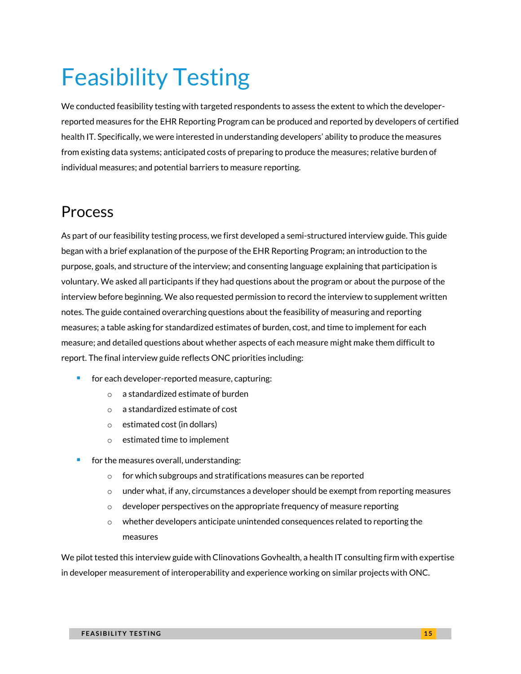# <span id="page-14-0"></span>Feasibility Testing

We conducted feasibility testing with targeted respondents to assess the extent to which the developerreported measures for the EHR Reporting Program can be produced and reported by developers of certified health IT. Specifically, we were interested in understanding developers' ability to produce the measures from existing data systems; anticipated costs of preparing to produce the measures; relative burden of individual measures; and potential barriers to measure reporting.

## <span id="page-14-1"></span>Process

As part of our feasibility testing process, we first developed a semi-structured interview guide. This guide began with a brief explanation of the purpose of the EHR Reporting Program; an introduction to the purpose, goals, and structure of the interview; and consenting language explaining that participation is voluntary. We asked all participants if they had questions about the program or about the purpose of the interview before beginning. We also requested permission to record the interview to supplement written notes. The guide contained overarching questions about the feasibility of measuring and reporting measures; a table asking for standardized estimates of burden, cost, and time to implement for each measure; and detailed questions about whether aspects of each measure might make them difficult to report. The final interview guide reflects ONC priorities including:

- for each developer-reported measure, capturing:
	- o a standardized estimate of burden
	- o a standardized estimate of cost
	- o estimated cost (in dollars)
	- o estimated time to implement
- for the measures overall, understanding:
	- o for which subgroups and stratifications measures can be reported
	- $\circ$  under what, if any, circumstances a developer should be exempt from reporting measures
	- $\circ$  developer perspectives on the appropriate frequency of measure reporting
	- $\circ$  whether developers anticipate unintended consequences related to reporting the measures

We pilot tested this interview guide with Clinovations Govhealth, a health IT consulting firm with expertise in developer measurement of interoperability and experience working on similar projects with ONC.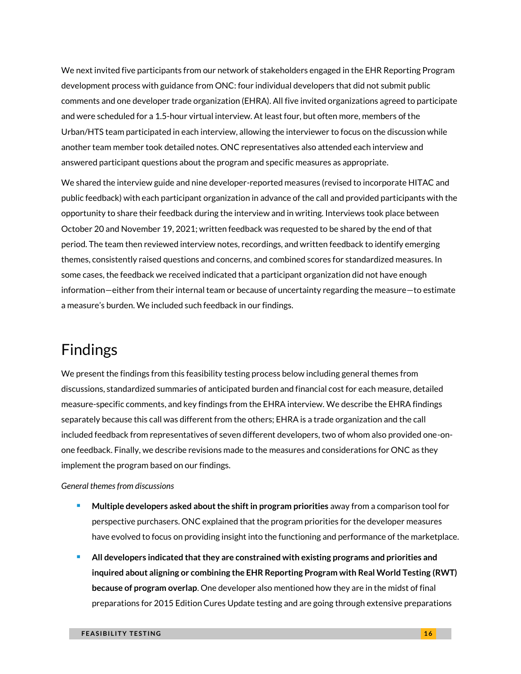We next invited five participants from our network of stakeholders engaged in the EHR Reporting Program development process with guidance from ONC: four individual developers that did not submit public comments and one developer trade organization (EHRA). All five invited organizations agreed to participate and were scheduled for a 1.5-hour virtual interview. At least four, but often more, members of the Urban/HTS team participated in each interview, allowing the interviewer to focus on the discussion while another team member took detailed notes. ONC representatives also attended each interview and answered participant questions about the program and specific measures as appropriate.

We shared the interview guide and nine developer-reported measures (revised to incorporate HITAC and public feedback) with each participant organization in advance of the call and provided participants with the opportunity to share their feedback during the interview and in writing. Interviews took place between October 20 and November 19, 2021; written feedback was requested to be shared by the end of that period. The team then reviewed interview notes, recordings, and written feedback to identify emerging themes, consistently raised questions and concerns, and combined scores for standardized measures. In some cases, the feedback we received indicated that a participant organization did not have enough information—either from their internal team or because of uncertainty regarding the measure—to estimate a measure's burden. We included such feedback in our findings.

## <span id="page-15-0"></span>Findings

We present the findings from this feasibility testing process below including general themes from discussions, standardized summaries of anticipated burden and financial cost for each measure, detailed measure-specific comments, and key findings from the EHRA interview. We describe the EHRA findings separately because this call was different from the others; EHRA is a trade organization and the call included feedback from representatives of seven different developers, two of whom also provided one-onone feedback. Finally, we describe revisions made to the measures and considerations for ONC as they implement the program based on our findings.

#### *General themes from discussions*

- <sup>◼</sup> **Multiple developers asked about the shift in program priorities** away from a comparison tool for perspective purchasers. ONC explained that the program priorities for the developer measures have evolved to focus on providing insight into the functioning and performance of the marketplace.
- <sup>◼</sup> **All developers indicated that they are constrained with existing programs and priorities and inquired about aligning or combining the EHR Reporting Program with Real World Testing (RWT) because of program overlap**. One developer also mentioned how they are in the midst of final preparations for 2015 Edition Cures Update testing and are going through extensive preparations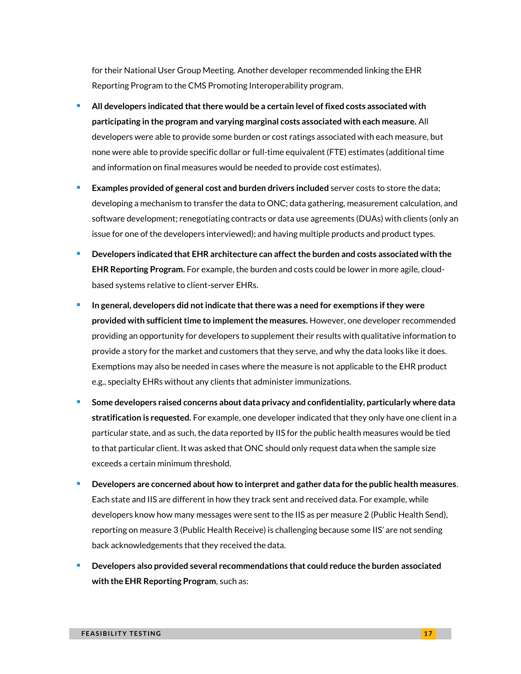for their National User Group Meeting. Another developer recommended linking the EHR Reporting Program to the CMS Promoting Interoperability program.

- <sup>◼</sup> **All developers indicated that there would be a certain level of fixed costs associated with participating in the program and varying marginal costs associated with each measure.** All developers were able to provide some burden or cost ratings associated with each measure, but none were able to provide specific dollar or full-time equivalent (FTE) estimates (additional time and information on final measures would be needed to provide cost estimates).
- **Examples provided of general cost and burden drivers included** server costs to store the data; developing a mechanism to transfer the data to ONC; data gathering, measurement calculation, and software development; renegotiating contracts or data use agreements (DUAs) with clients (only an issue for one of the developers interviewed); and having multiple products and product types.
- <sup>◼</sup> **Developers indicated that EHR architecture can affect the burden and costs associated with the EHR Reporting Program.** For example, the burden and costs could be lower in more agile, cloudbased systems relative to client-server EHRs.
- <sup>◼</sup> **In general, developers did not indicate that there was a need for exemptions ifthey were provided with sufficient time to implement the measures.** However, one developer recommended providing an opportunity for developers to supplement their results with qualitative information to provide a story for the market and customers that they serve, and why the data looks like it does. Exemptions may also be needed in cases where the measure is not applicable to the EHR product e.g., specialty EHRs without any clients that administer immunizations.
- <sup>◼</sup> **Some developers raised concerns about data privacy and confidentiality, particularly where data stratification is requested.** For example, one developer indicated that they only have one client in a particular state, and as such, the data reported by IIS for the public health measures would be tied to that particular client. It was asked that ONC should only request data when the sample size exceeds a certain minimum threshold.
- <sup>◼</sup> **Developers are concerned about how to interpret and gather data for the public health measures**. Each state and IIS are different in how they track sent and received data. For example, while developers know how many messages were sent to the IIS as per measure 2 (Public Health Send), reporting on measure 3 (Public Health Receive) is challenging because some IIS' are not sending back acknowledgements that they received the data.
- <sup>◼</sup> **Developers also provided several recommendations that could reduce the burden associated with the EHR Reporting Program**, such as: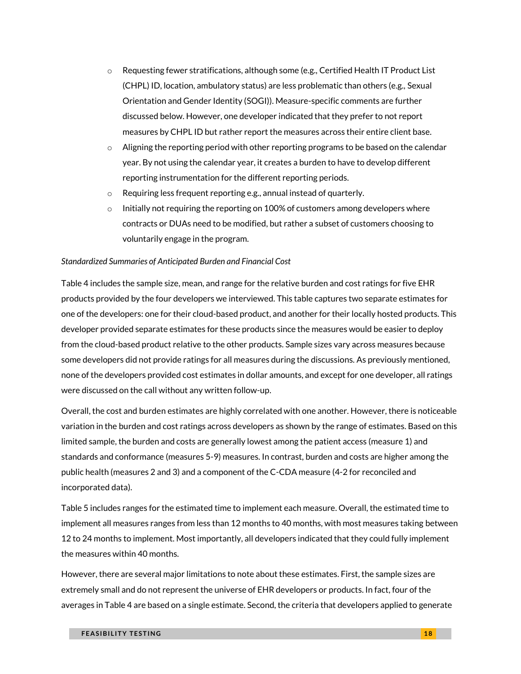- o Requesting fewer stratifications, although some (e.g., Certified Health IT Product List (CHPL) ID, location, ambulatory status) are less problematic than others (e.g., Sexual Orientation and Gender Identity (SOGI)). Measure-specific comments are further discussed below. However, one developer indicated that they prefer to not report measures by CHPL ID but rather report the measures across their entire client base.
- $\circ$  Aligning the reporting period with other reporting programs to be based on the calendar year. By not using the calendar year, it creates a burden to have to develop different reporting instrumentation for the different reporting periods.
- o Requiring less frequent reporting e.g., annual instead of quarterly.
- $\circ$  Initially not requiring the reporting on 100% of customers among developers where contracts or DUAs need to be modified, but rather a subset of customers choosing to voluntarily engage in the program.

#### *Standardized Summaries of Anticipated Burden and Financial Cost*

Table 4 includes the sample size, mean, and range for the relative burden and cost ratings for five EHR products provided by the four developers we interviewed. This table captures two separate estimates for one of the developers: one for their cloud-based product, and another for their locally hosted products. This developer provided separate estimates for these products since the measures would be easier to deploy from the cloud-based product relative to the other products. Sample sizes vary across measures because some developers did not provide ratings for all measures during the discussions. As previously mentioned, none of the developers provided cost estimates in dollar amounts, and except for one developer, all ratings were discussed on the call without any written follow-up.

Overall, the cost and burden estimates are highly correlated with one another. However, there is noticeable variation in the burden and cost ratings across developers as shown by the range of estimates. Based on this limited sample, the burden and costs are generally lowest among the patient access (measure 1) and standards and conformance (measures 5-9) measures. In contrast, burden and costs are higher among the public health (measures 2 and 3) and a component of the C-CDA measure (4-2 for reconciled and incorporated data).

Table 5 includes ranges for the estimated time to implement each measure. Overall, the estimated time to implement all measures ranges from less than 12 months to 40 months, with most measures taking between 12 to 24 months to implement. Most importantly, all developers indicated that they could fully implement the measures within 40 months.

However, there are several major limitations to note about these estimates. First, the sample sizes are extremely small and do not represent the universe of EHR developers or products. In fact, four of the averages in Table 4 are based on a single estimate. Second, the criteria that developers applied to generate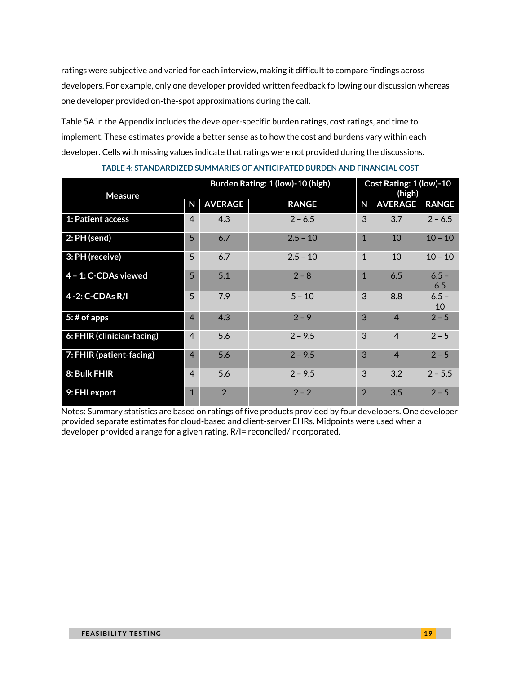ratings were subjective and varied for each interview, making it difficult to compare findings across developers. For example, only one developer provided written feedback following our discussion whereas one developer provided on-the-spot approximations during the call.

Table 5A in the Appendix includes the developer-specific burden ratings, cost ratings, and time to implement. These estimates provide a better sense as to how the cost and burdens vary within each developer. Cells with missing values indicate that ratings were not provided during the discussions.

| <b>Measure</b>             | Burden Rating: 1 (low)-10 (high) |                |              | Cost Rating: 1 (low)-10<br>(high) |                |                |  |
|----------------------------|----------------------------------|----------------|--------------|-----------------------------------|----------------|----------------|--|
|                            | N                                | <b>AVERAGE</b> | <b>RANGE</b> | N                                 | <b>AVERAGE</b> | <b>RANGE</b>   |  |
| <b>1: Patient access</b>   | $\overline{4}$                   | 4.3            | $2 - 6.5$    | 3                                 | 3.7            | $2 - 6.5$      |  |
| $2: PH$ (send)             | 5 <sup>5</sup>                   | 6.7            | $2.5 - 10$   | $\mathbf{1}$                      | 10             | $10 - 10$      |  |
| 3: PH (receive)            | 5                                | 6.7            | $2.5 - 10$   | $\mathbf{1}$                      | 10             | $10 - 10$      |  |
| $4 - 1$ : C-CDAs viewed    | $5\overline{)}$                  | 5.1            | $2 - 8$      | 1                                 | 6.5            | $6.5 -$<br>6.5 |  |
| 4 - 2: C-CDAs R/I          | 5                                | 7.9            | $5 - 10$     | 3                                 | 8.8            | $6.5 -$<br>10  |  |
| $5:$ # of apps             | $\overline{4}$                   | 4.3            | $2 - 9$      | 3                                 | $\overline{4}$ | $2 - 5$        |  |
| 6: FHIR (clinician-facing) | $\overline{4}$                   | 5.6            | $2 - 9.5$    | 3                                 | $\overline{4}$ | $2 - 5$        |  |
| 7: FHIR (patient-facing)   | $\overline{4}$                   | 5.6            | $2 - 9.5$    | 3                                 | $\overline{4}$ | $2 - 5$        |  |
| 8: Bulk FHIR               | $\overline{4}$                   | 5.6            | $2 - 9.5$    | 3                                 | 3.2            | $2 - 5.5$      |  |
| 9: EHI export              | $\mathbf{1}$                     | $\overline{2}$ | $2 - 2$      | $\overline{2}$                    | 3.5            | $2 - 5$        |  |

**TABLE 4: STANDARDIZED SUMMARIES OF ANTICIPATED BURDEN AND FINANCIAL COST**

Notes: Summary statistics are based on ratings of five products provided by four developers. One developer provided separate estimates for cloud-based and client-server EHRs. Midpoints were used when a developer provided a range for a given rating. R/I= reconciled/incorporated.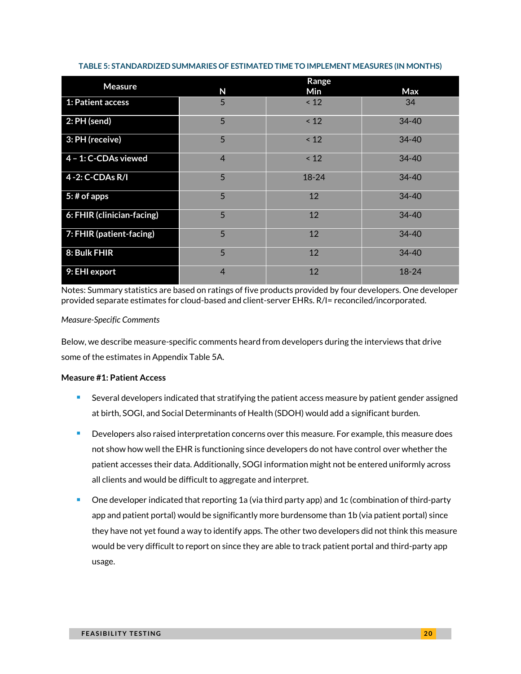| <b>Measure</b>             | Range          |           |           |  |  |  |
|----------------------------|----------------|-----------|-----------|--|--|--|
|                            | N              | Min       | Max       |  |  |  |
| 1: Patient access          | 5              | $\leq 12$ | 34        |  |  |  |
| $2: PH$ (send)             | 5              | $\leq 12$ | $34 - 40$ |  |  |  |
| 3: PH (receive)            | 5              | < 12      | $34 - 40$ |  |  |  |
| 4 - 1: C-CDAs viewed       | $\overline{4}$ | < 12      | 34-40     |  |  |  |
| 4-2: C-CDAs R/I            | 5              | $18 - 24$ | $34 - 40$ |  |  |  |
| $5:$ # of apps             | 5              | 12        | $34 - 40$ |  |  |  |
| 6: FHIR (clinician-facing) | 5              | 12        | $34 - 40$ |  |  |  |
| 7: FHIR (patient-facing)   | 5              | 12        | $34 - 40$ |  |  |  |
| 8: Bulk FHIR               | 5              | 12        | $34 - 40$ |  |  |  |
| 9: EHI export              | $\overline{4}$ | 12        | $18 - 24$ |  |  |  |

#### **TABLE 5: STANDARDIZED SUMMARIES OF ESTIMATED TIME TO IMPLEMENT MEASURES (IN MONTHS)**

Notes: Summary statistics are based on ratings of five products provided by four developers. One developer provided separate estimates for cloud-based and client-server EHRs. R/I= reconciled/incorporated.

#### *Measure-Specific Comments*

Below, we describe measure-specific comments heard from developers during the interviews that drive some of the estimates in Appendix Table 5A.

#### **Measure #1: Patient Access**

- Several developers indicated that stratifying the patient access measure by patient gender assigned at birth, SOGI, and Social Determinants of Health (SDOH) would add a significant burden.
- Developers also raised interpretation concerns over this measure. For example, this measure does not show how well the EHR is functioning since developers do not have control over whether the patient accesses their data. Additionally, SOGI information might not be entered uniformly across all clients and would be difficult to aggregate and interpret.
- One developer indicated that reporting 1a (via third party app) and 1c (combination of third-party app and patient portal) would be significantly more burdensome than 1b (via patient portal) since they have not yet found a way to identify apps. The other two developers did not think this measure would be very difficult to report on since they are able to track patient portal and third-party app usage.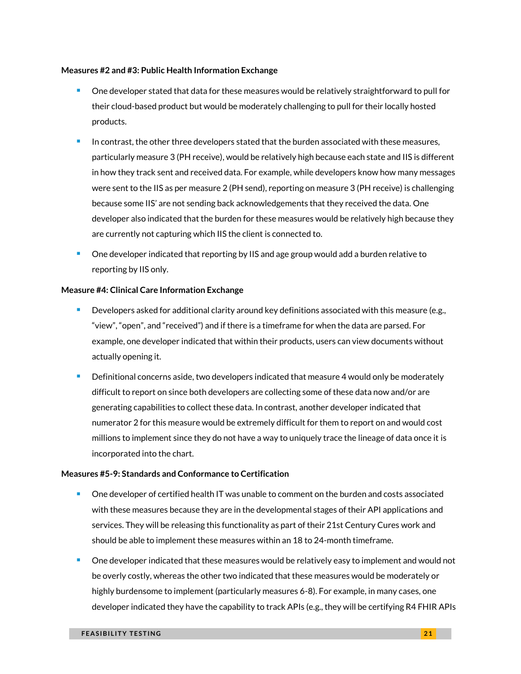#### **Measures #2 and #3: Public Health Information Exchange**

- One developer stated that data for these measures would be relatively straightforward to pull for their cloud-based product but would be moderately challenging to pull for their locally hosted products.
- In contrast, the other three developers stated that the burden associated with these measures, particularly measure 3 (PH receive), would be relatively high because each state and IIS is different in how they track sent and received data. For example, while developers know how many messages were sent to the IIS as per measure 2 (PH send), reporting on measure 3 (PH receive) is challenging because some IIS' are not sending back acknowledgements that they received the data. One developer also indicated that the burden for these measures would be relatively high because they are currently not capturing which IIS the client is connected to.
- One developer indicated that reporting by IIS and age group would add a burden relative to reporting by IIS only.

#### **Measure #4: Clinical Care Information Exchange**

- Developers asked for additional clarity around key definitions associated with this measure (e.g., "view", "open", and "received") and if there is a timeframe for when the data are parsed. For example, one developer indicated that within their products, users can view documents without actually opening it.
- Definitional concerns aside, two developers indicated that measure 4 would only be moderately difficult to report on since both developers are collecting some of these data now and/or are generating capabilities to collect these data. In contrast, another developer indicated that numerator 2 for this measure would be extremely difficult for them to report on and would cost millions to implement since they do not have a way to uniquely trace the lineage of data once it is incorporated into the chart.

#### **Measures #5-9: Standards and Conformance to Certification**

- One developer of certified health IT was unable to comment on the burden and costs associated with these measures because they are in the developmental stages of their API applications and services. They will be releasing this functionality as part of their 21st Century Cures work and should be able to implement these measures within an 18 to 24-month timeframe.
- <sup>◼</sup> One developer indicated that these measures would be relatively easy to implement and would not be overly costly, whereas the other two indicated that these measures would be moderately or highly burdensome to implement (particularly measures 6-8). For example, in many cases, one developer indicated they have the capability to track APIs (e.g., they will be certifying R4 FHIR APIs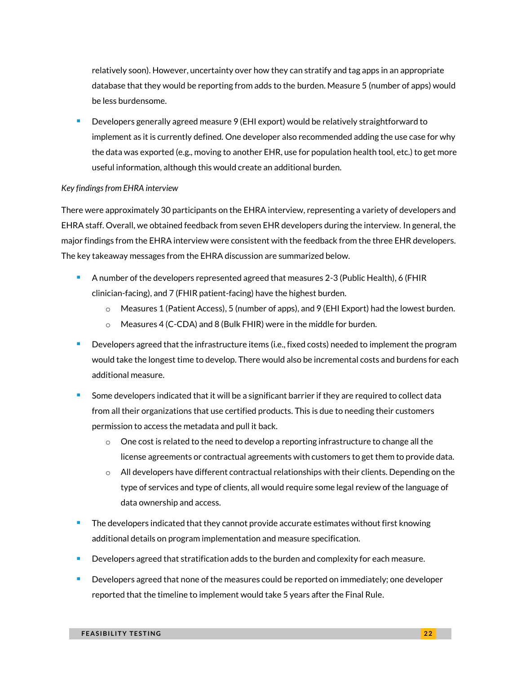relatively soon). However, uncertainty over how they can stratify and tag apps in an appropriate database that they would be reporting from adds to the burden. Measure 5 (number of apps) would be less burdensome.

Developers generally agreed measure 9 (EHI export) would be relatively straightforward to implement as it is currently defined. One developer also recommended adding the use case for why the data was exported (e.g., moving to another EHR, use for population health tool, etc.) to get more useful information, although this would create an additional burden.

#### *Key findings from EHRA interview*

There were approximately 30 participants on the EHRA interview, representing a variety of developers and EHRA staff. Overall, we obtained feedback from seven EHR developers during the interview. In general, the major findings from the EHRA interview were consistent with the feedback from the three EHR developers. The key takeaway messages from the EHRA discussion are summarized below.

- <sup>◼</sup> A number of the developers represented agreed that measures 2-3 (Public Health), 6 (FHIR clinician-facing), and 7 (FHIR patient-facing) have the highest burden.
	- o Measures 1 (Patient Access), 5 (number of apps), and 9 (EHI Export) had the lowest burden.
	- o Measures 4 (C-CDA) and 8 (Bulk FHIR) were in the middle for burden.
- Developers agreed that the infrastructure items (i.e., fixed costs) needed to implement the program would take the longest time to develop. There would also be incremental costs and burdens for each additional measure.
- Some developers indicated that it will be a significant barrier if they are required to collect data from all their organizations that use certified products. This is due to needing their customers permission to access the metadata and pull it back.
	- $\circ$  One cost is related to the need to develop a reporting infrastructure to change all the license agreements or contractual agreements with customers to get them to provide data.
	- $\circ$  All developers have different contractual relationships with their clients. Depending on the type of services and type of clients, all would require some legal review of the language of data ownership and access.
- The developers indicated that they cannot provide accurate estimates without first knowing additional details on program implementation and measure specification.
- Developers agreed that stratification adds to the burden and complexity for each measure.
- Developers agreed that none of the measures could be reported on immediately; one developer reported that the timeline to implement would take 5 years after the Final Rule.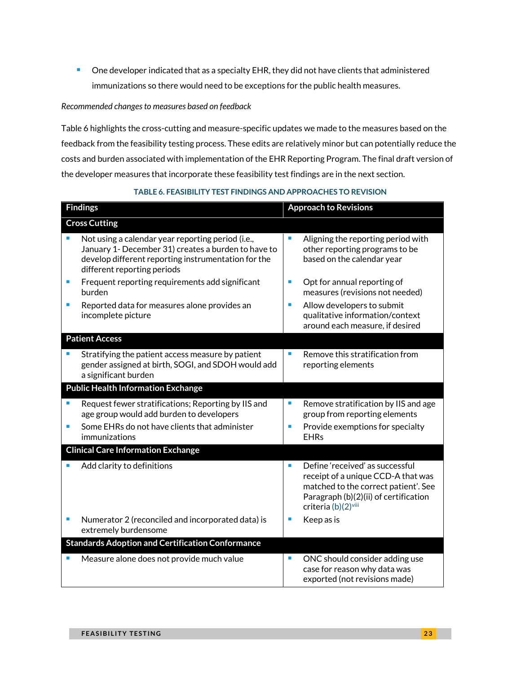■ One developer indicated that as a specialty EHR, they did not have clients that administered immunizations so there would need to be exceptions for the public health measures.

#### *Recommended changes to measures based on feedback*

Table 6 highlights the cross-cutting and measure-specific updates we made to the measures based on the feedback from the feasibility testing process. These edits are relatively minor but can potentially reduce the costs and burden associated with implementation of the EHR Reporting Program. The final draft version of the developer measures that incorporate these feasibility test findings are in the next section.

#### **TABLE 6. FEASIBILITY TEST FINDINGS AND APPROACHES TO REVISION**

| <b>Findings</b> |                                                                                                                                                                                                | <b>Approach to Revisions</b> |                                                                                                                                                                               |
|-----------------|------------------------------------------------------------------------------------------------------------------------------------------------------------------------------------------------|------------------------------|-------------------------------------------------------------------------------------------------------------------------------------------------------------------------------|
|                 | <b>Cross Cutting</b>                                                                                                                                                                           |                              |                                                                                                                                                                               |
| ×               | Not using a calendar year reporting period (i.e.,<br>January 1- December 31) creates a burden to have to<br>develop different reporting instrumentation for the<br>different reporting periods | П                            | Aligning the reporting period with<br>other reporting programs to be<br>based on the calendar year                                                                            |
| п               | Frequent reporting requirements add significant<br>burden                                                                                                                                      | ×                            | Opt for annual reporting of<br>measures (revisions not needed)                                                                                                                |
| ٠               | Reported data for measures alone provides an<br>incomplete picture                                                                                                                             | ×                            | Allow developers to submit<br>qualitative information/context<br>around each measure, if desired                                                                              |
|                 | <b>Patient Access</b>                                                                                                                                                                          |                              |                                                                                                                                                                               |
| п               | Stratifying the patient access measure by patient<br>gender assigned at birth, SOGI, and SDOH would add<br>a significant burden                                                                | ×                            | Remove this stratification from<br>reporting elements                                                                                                                         |
|                 | <b>Public Health Information Exchange</b>                                                                                                                                                      |                              |                                                                                                                                                                               |
| r<br>п          | Request fewer stratifications; Reporting by IIS and<br>age group would add burden to developers<br>Some EHRs do not have clients that administer<br>immunizations                              | ×<br>×                       | Remove stratification by IIS and age<br>group from reporting elements<br>Provide exemptions for specialty<br><b>EHRs</b>                                                      |
|                 | <b>Clinical Care Information Exchange</b>                                                                                                                                                      |                              |                                                                                                                                                                               |
|                 | Add clarity to definitions                                                                                                                                                                     | ×                            | Define 'received' as successful<br>receipt of a unique CCD-A that was<br>matched to the correct patient'. See<br>Paragraph (b)(2)(ii) of certification<br>criteria (b)(2)viii |
| ٠               | Numerator 2 (reconciled and incorporated data) is<br>extremely burdensome                                                                                                                      |                              | Keep as is                                                                                                                                                                    |
|                 | <b>Standards Adoption and Certification Conformance</b>                                                                                                                                        |                              |                                                                                                                                                                               |
| ٠               | Measure alone does not provide much value                                                                                                                                                      | ×                            | ONC should consider adding use<br>case for reason why data was<br>exported (not revisions made)                                                                               |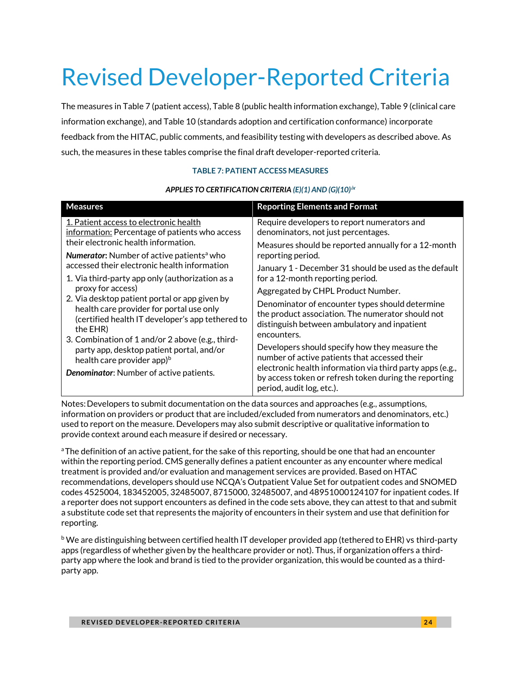# <span id="page-23-0"></span>Revised Developer-Reported Criteria

The measures in Table 7 (patient access), Table 8 (public health information exchange), Table 9 (clinical care information exchange), and Table 10 (standards adoption and certification conformance) incorporate feedback from the HITAC, public comments, and feasibility testing with developers as described above. As such, the measures in these tables comprise the final draft developer-reported criteria.

#### **TABLE 7: PATIENT ACCESS MEASURES**

#### *APPLIES TO CERTIFICATION CRITERI[A \(E\)\(1\)](https://www.healthit.gov/test-method/view-download-and-transmit-3rd-party) AN[D \(G\)\(10\)](https://www.healthit.gov/test-method/standardized-api-patient-and-population-services)***[ix](#page-34-0)**

| <b>Measures</b>                                                                                                                                                                                                                                                                                                                                                              | <b>Reporting Elements and Format</b>                                                                                                                                |  |  |  |
|------------------------------------------------------------------------------------------------------------------------------------------------------------------------------------------------------------------------------------------------------------------------------------------------------------------------------------------------------------------------------|---------------------------------------------------------------------------------------------------------------------------------------------------------------------|--|--|--|
| 1. Patient access to electronic health<br>information: Percentage of patients who access                                                                                                                                                                                                                                                                                     | Require developers to report numerators and<br>denominators, not just percentages.                                                                                  |  |  |  |
| their electronic health information.                                                                                                                                                                                                                                                                                                                                         | Measures should be reported annually for a 12-month                                                                                                                 |  |  |  |
| <b>Numerator:</b> Number of active patients <sup>a</sup> who<br>accessed their electronic health information                                                                                                                                                                                                                                                                 | reporting period.                                                                                                                                                   |  |  |  |
| 1. Via third-party app only (authorization as a<br>proxy for access)<br>2. Via desktop patient portal or app given by<br>health care provider for portal use only<br>(certified health IT developer's app tethered to<br>the EHR)<br>3. Combination of 1 and/or 2 above (e.g., third-<br>party app, desktop patient portal, and/or<br>health care provider app) <sup>b</sup> | January 1 - December 31 should be used as the default<br>for a 12-month reporting period.                                                                           |  |  |  |
|                                                                                                                                                                                                                                                                                                                                                                              | Aggregated by CHPL Product Number.                                                                                                                                  |  |  |  |
|                                                                                                                                                                                                                                                                                                                                                                              | Denominator of encounter types should determine<br>the product association. The numerator should not<br>distinguish between ambulatory and inpatient<br>encounters. |  |  |  |
|                                                                                                                                                                                                                                                                                                                                                                              | Developers should specify how they measure the<br>number of active patients that accessed their                                                                     |  |  |  |
| Denominator: Number of active patients.                                                                                                                                                                                                                                                                                                                                      | electronic health information via third party apps (e.g.,<br>by access token or refresh token during the reporting<br>period, audit log, etc.).                     |  |  |  |

Notes:Developers to submit documentation on the data sources and approaches (e.g., assumptions, information on providers or product that are included/excluded from numerators and denominators, etc.) used to report on the measure. Developers may also submit descriptive or qualitative information to provide context around each measure if desired or necessary.

<sup>a</sup>The definition of an active patient, for the sake of this reporting, should be one that had an encounter within the reporting period. CMS generally defines a patient encounter as any encounter where medical treatment is provided and/or evaluation and management services are provided. Based on HTAC recommendations, developers should use NCQA's Outpatient Value Set for outpatient codes and SNOMED codes 4525004, 183452005, 32485007, 8715000, 32485007, and 48951000124107 for inpatient codes. If a reporter does not support encounters as defined in the code sets above, they can attest to that and submit a substitute code set that represents the majority of encounters in their system and use that definition for reporting.

<sup>b</sup> We are distinguishing between certified health IT developer provided app (tethered to EHR) vs third-party apps (regardless of whether given by the healthcare provider or not). Thus, if organization offers a thirdparty app where the look and brand is tied to the provider organization, this would be counted as a thirdparty app.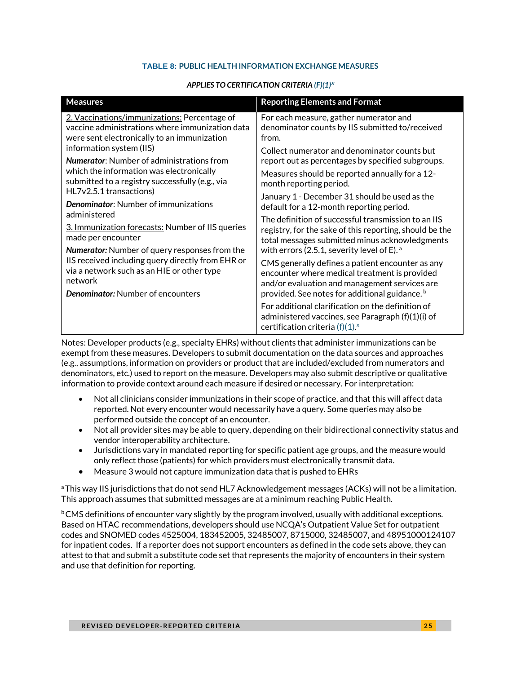#### **TABLE 8: PUBLIC HEALTH INFORMATION EXCHANGE MEASURES**

#### *APPLIES TO CERTIFICATION CRITERIA [\(F\)\(1\)](https://www.healthit.gov/test-method/transmission-immunization-registries)***<sup>x</sup>**

| <b>Measures</b>                                                                                                                                                                                         | <b>Reporting Elements and Format</b>                                                                                                                                                                                                                                    |  |  |  |  |
|---------------------------------------------------------------------------------------------------------------------------------------------------------------------------------------------------------|-------------------------------------------------------------------------------------------------------------------------------------------------------------------------------------------------------------------------------------------------------------------------|--|--|--|--|
| 2. Vaccinations/immunizations: Percentage of<br>vaccine administrations where immunization data<br>were sent electronically to an immunization<br>information system (IIS)                              | For each measure, gather numerator and<br>denominator counts by IIS submitted to/received<br>from.<br>Collect numerator and denominator counts but                                                                                                                      |  |  |  |  |
| <b>Numerator:</b> Number of administrations from<br>which the information was electronically<br>submitted to a registry successfully (e.g., via                                                         | report out as percentages by specified subgroups.<br>Measures should be reported annually for a 12-<br>month reporting period.                                                                                                                                          |  |  |  |  |
| HL7v2.5.1 transactions)<br><b>Denominator:</b> Number of immunizations<br>administered                                                                                                                  | January 1 - December 31 should be used as the<br>default for a 12-month reporting period.                                                                                                                                                                               |  |  |  |  |
| 3. Immunization forecasts: Number of IIS queries<br>made per encounter                                                                                                                                  | The definition of successful transmission to an IIS<br>registry, for the sake of this reporting, should be the<br>total messages submitted minus acknowledgments                                                                                                        |  |  |  |  |
| Numerator: Number of query responses from the<br>IIS received including query directly from EHR or<br>via a network such as an HIE or other type<br>network<br><b>Denominator:</b> Number of encounters | with errors (2.5.1, severity level of E). $^{\circ}$<br>CMS generally defines a patient encounter as any<br>encounter where medical treatment is provided<br>and/or evaluation and management services are<br>provided. See notes for additional guidance. <sup>b</sup> |  |  |  |  |
|                                                                                                                                                                                                         | For additional clarification on the definition of<br>administered vaccines, see Paragraph (f)(1)(i) of<br>certification criteria $(f)(1)^x$                                                                                                                             |  |  |  |  |

Notes: Developer products (e.g., specialty EHRs) without clients that administer immunizations can be exempt from these measures. Developers to submit documentation on the data sources and approaches (e.g., assumptions, information on providers or product that are included/excluded from numerators and denominators, etc.) used to report on the measure. Developers may also submit descriptive or qualitative information to provide context around each measure if desired or necessary. For interpretation:

- Not all clinicians consider immunizations in their scope of practice, and that this will affect data reported. Not every encounter would necessarily have a query. Some queries may also be performed outside the concept of an encounter.
- Not all provider sites may be able to query, depending on their bidirectional connectivity status and vendor interoperability architecture.
- Jurisdictions vary in mandated reporting for specific patient age groups, and the measure would only reflect those (patients) for which providers must electronically transmit data.
- Measure 3 would not capture immunization data that is pushed to EHRs

<sup>a</sup>This way IIS jurisdictions that do not send HL7 Acknowledgement messages (ACKs) will not be a limitation. This approach assumes that submitted messages are at a minimum reaching Public Health.

 $b$ CMS definitions of encounter vary slightly by the program involved, usually with additional exceptions. Based on HTAC recommendations, developers should use NCQA's Outpatient Value Set for outpatient codes and SNOMED codes 4525004, 183452005, 32485007, 8715000, 32485007, and 48951000124107 for inpatient codes. If a reporter does not support encounters as defined in the code sets above, they can attest to that and submit a substitute code set that represents the majority of encounters in their system and use that definition for reporting.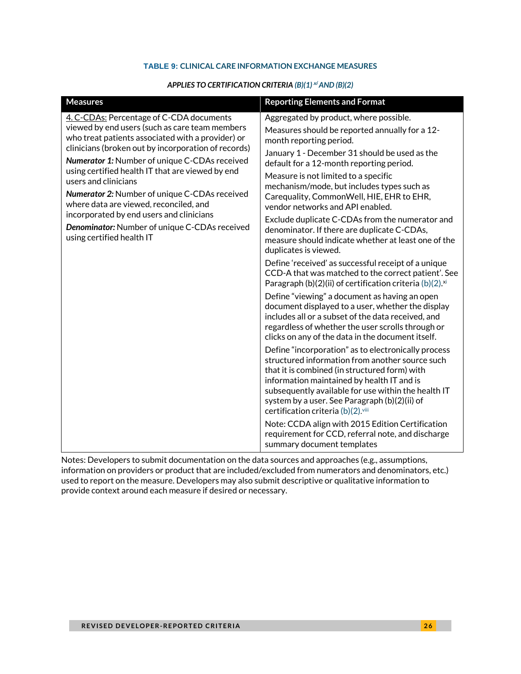#### **TABLE 9: CLINICAL CARE INFORMATION EXCHANGE MEASURES**

#### *APPLIES TO CERTIFICATION CRITERI[A \(B\)\(1\)](https://www.healthit.gov/test-method/transitions-care)* **[xi](#page-34-0)** *AN[D \(B\)\(2\)](https://www.healthit.gov/test-method/clinical-information-reconciliation-and-incorporation)*

| <b>Measures</b>                                                                                                                                                                                                                                                                                                                                | <b>Reporting Elements and Format</b>                                                                                                                                                                                                                                                                                                                |
|------------------------------------------------------------------------------------------------------------------------------------------------------------------------------------------------------------------------------------------------------------------------------------------------------------------------------------------------|-----------------------------------------------------------------------------------------------------------------------------------------------------------------------------------------------------------------------------------------------------------------------------------------------------------------------------------------------------|
| 4. C-CDAs: Percentage of C-CDA documents<br>viewed by end users (such as care team members<br>who treat patients associated with a provider) or<br>clinicians (broken out by incorporation of records)                                                                                                                                         | Aggregated by product, where possible.<br>Measures should be reported annually for a 12-<br>month reporting period.<br>January 1 - December 31 should be used as the                                                                                                                                                                                |
| Numerator 1: Number of unique C-CDAs received<br>using certified health IT that are viewed by end<br>users and clinicians<br>Numerator 2: Number of unique C-CDAs received<br>where data are viewed, reconciled, and<br>incorporated by end users and clinicians<br>Denominator: Number of unique C-CDAs received<br>using certified health IT | default for a 12-month reporting period.<br>Measure is not limited to a specific<br>mechanism/mode, but includes types such as                                                                                                                                                                                                                      |
|                                                                                                                                                                                                                                                                                                                                                | Carequality, CommonWell, HIE, EHR to EHR,<br>vendor networks and API enabled.                                                                                                                                                                                                                                                                       |
|                                                                                                                                                                                                                                                                                                                                                | Exclude duplicate C-CDAs from the numerator and<br>denominator. If there are duplicate C-CDAs,<br>measure should indicate whether at least one of the<br>duplicates is viewed.                                                                                                                                                                      |
|                                                                                                                                                                                                                                                                                                                                                | Define 'received' as successful receipt of a unique<br>CCD-A that was matched to the correct patient'. See<br>Paragraph (b)(2)(ii) of certification criteria (b)(2). <sup>xi</sup>                                                                                                                                                                  |
|                                                                                                                                                                                                                                                                                                                                                | Define "viewing" a document as having an open<br>document displayed to a user, whether the display<br>includes all or a subset of the data received, and<br>regardless of whether the user scrolls through or<br>clicks on any of the data in the document itself.                                                                                  |
|                                                                                                                                                                                                                                                                                                                                                | Define "incorporation" as to electronically process<br>structured information from another source such<br>that it is combined (in structured form) with<br>information maintained by health IT and is<br>subsequently available for use within the health IT<br>system by a user. See Paragraph (b)(2)(ii) of<br>certification criteria (b)(2).viii |
|                                                                                                                                                                                                                                                                                                                                                | Note: CCDA align with 2015 Edition Certification<br>requirement for CCD, referral note, and discharge<br>summary document templates                                                                                                                                                                                                                 |

Notes: Developers to submit documentation on the data sources and approaches (e.g., assumptions, information on providers or product that are included/excluded from numerators and denominators, etc.) used to report on the measure. Developers may also submit descriptive or qualitative information to provide context around each measure if desired or necessary.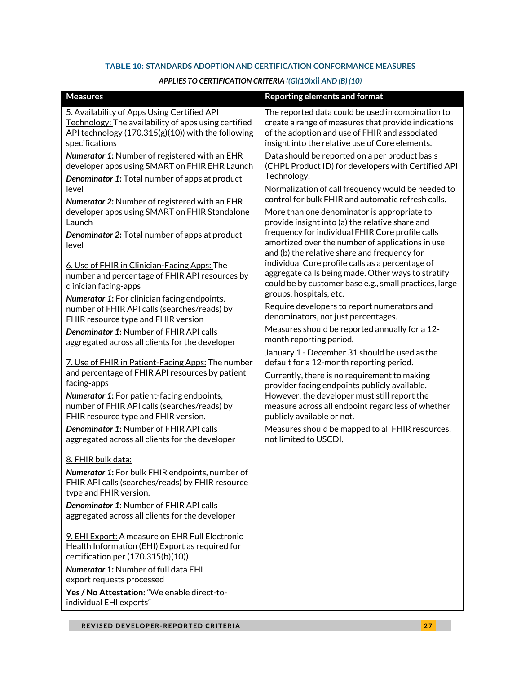#### **TABLE 10: STANDARDS ADOPTION AND CERTIFICATION CONFORMANCE MEASURES**

#### *APPLIES TO CERTIFICATION CRITERI[A \(](https://www.healthit.gov/test-method/view-download-and-transmit-3rd-party)[\(G\)\(10\)](https://www.healthit.gov/test-method/standardized-api-patient-and-population-services)***[xii](#page-34-0)** *AND (B) (10)*

| <b>Measures</b>                                                                                                                                                                                                                                                                                                                                                                                                                           | <b>Reporting elements and format</b>                                                                                                                                                                                                                                                                                                                                                                                                                                                                                                                                                                 |  |  |  |  |  |  |
|-------------------------------------------------------------------------------------------------------------------------------------------------------------------------------------------------------------------------------------------------------------------------------------------------------------------------------------------------------------------------------------------------------------------------------------------|------------------------------------------------------------------------------------------------------------------------------------------------------------------------------------------------------------------------------------------------------------------------------------------------------------------------------------------------------------------------------------------------------------------------------------------------------------------------------------------------------------------------------------------------------------------------------------------------------|--|--|--|--|--|--|
| 5. Availability of Apps Using Certified API<br>Technology: The availability of apps using certified<br>API technology (170.315(g)(10)) with the following<br>specifications                                                                                                                                                                                                                                                               | The reported data could be used in combination to<br>create a range of measures that provide indications<br>of the adoption and use of FHIR and associated<br>insight into the relative use of Core elements.                                                                                                                                                                                                                                                                                                                                                                                        |  |  |  |  |  |  |
| <b>Numerator 1: Number of registered with an EHR</b><br>developer apps using SMART on FHIR EHR Launch<br>Denominator 1: Total number of apps at product<br>level<br>Numerator 2: Number of registered with an EHR<br>developer apps using SMART on FHIR Standalone<br>Launch<br>Denominator 2: Total number of apps at product<br>level<br>6. Use of FHIR in Clinician-Facing Apps: The<br>number and percentage of FHIR API resources by | Data should be reported on a per product basis<br>(CHPL Product ID) for developers with Certified API<br>Technology.<br>Normalization of call frequency would be needed to<br>control for bulk FHIR and automatic refresh calls.<br>More than one denominator is appropriate to<br>provide insight into (a) the relative share and<br>frequency for individual FHIR Core profile calls<br>amortized over the number of applications in use<br>and (b) the relative share and frequency for<br>individual Core profile calls as a percentage of<br>aggregate calls being made. Other ways to stratify |  |  |  |  |  |  |
| clinician facing-apps<br>Numerator 1: For clinician facing endpoints,                                                                                                                                                                                                                                                                                                                                                                     | could be by customer base e.g., small practices, large<br>groups, hospitals, etc.<br>Require developers to report numerators and                                                                                                                                                                                                                                                                                                                                                                                                                                                                     |  |  |  |  |  |  |
| number of FHIR API calls (searches/reads) by<br>FHIR resource type and FHIR version                                                                                                                                                                                                                                                                                                                                                       | denominators, not just percentages.                                                                                                                                                                                                                                                                                                                                                                                                                                                                                                                                                                  |  |  |  |  |  |  |
| Denominator 1: Number of FHIR API calls<br>aggregated across all clients for the developer                                                                                                                                                                                                                                                                                                                                                | Measures should be reported annually for a 12-<br>month reporting period.                                                                                                                                                                                                                                                                                                                                                                                                                                                                                                                            |  |  |  |  |  |  |
| 7. Use of FHIR in Patient-Facing Apps: The number<br>and percentage of FHIR API resources by patient<br>facing-apps                                                                                                                                                                                                                                                                                                                       | January 1 - December 31 should be used as the<br>default for a 12-month reporting period.<br>Currently, there is no requirement to making<br>provider facing endpoints publicly available.                                                                                                                                                                                                                                                                                                                                                                                                           |  |  |  |  |  |  |
| Numerator 1: For patient-facing endpoints,<br>number of FHIR API calls (searches/reads) by<br>FHIR resource type and FHIR version.                                                                                                                                                                                                                                                                                                        | However, the developer must still report the<br>measure across all endpoint regardless of whether<br>publicly available or not.                                                                                                                                                                                                                                                                                                                                                                                                                                                                      |  |  |  |  |  |  |
| <b>Denominator 1: Number of FHIR API calls</b><br>aggregated across all clients for the developer                                                                                                                                                                                                                                                                                                                                         | Measures should be mapped to all FHIR resources,<br>not limited to USCDI.                                                                                                                                                                                                                                                                                                                                                                                                                                                                                                                            |  |  |  |  |  |  |
| 8. FHIR bulk data:                                                                                                                                                                                                                                                                                                                                                                                                                        |                                                                                                                                                                                                                                                                                                                                                                                                                                                                                                                                                                                                      |  |  |  |  |  |  |
| Numerator 1: For bulk FHIR endpoints, number of<br>FHIR API calls (searches/reads) by FHIR resource<br>type and FHIR version.                                                                                                                                                                                                                                                                                                             |                                                                                                                                                                                                                                                                                                                                                                                                                                                                                                                                                                                                      |  |  |  |  |  |  |
| <b>Denominator 1: Number of FHIR API calls</b><br>aggregated across all clients for the developer                                                                                                                                                                                                                                                                                                                                         |                                                                                                                                                                                                                                                                                                                                                                                                                                                                                                                                                                                                      |  |  |  |  |  |  |
| 9. EHI Export: A measure on EHR Full Electronic<br>Health Information (EHI) Export as required for<br>certification per (170.315(b)(10))                                                                                                                                                                                                                                                                                                  |                                                                                                                                                                                                                                                                                                                                                                                                                                                                                                                                                                                                      |  |  |  |  |  |  |
| <b>Numerator 1: Number of full data EHI</b><br>export requests processed                                                                                                                                                                                                                                                                                                                                                                  |                                                                                                                                                                                                                                                                                                                                                                                                                                                                                                                                                                                                      |  |  |  |  |  |  |
| Yes / No Attestation: "We enable direct-to-<br>individual EHI exports"                                                                                                                                                                                                                                                                                                                                                                    |                                                                                                                                                                                                                                                                                                                                                                                                                                                                                                                                                                                                      |  |  |  |  |  |  |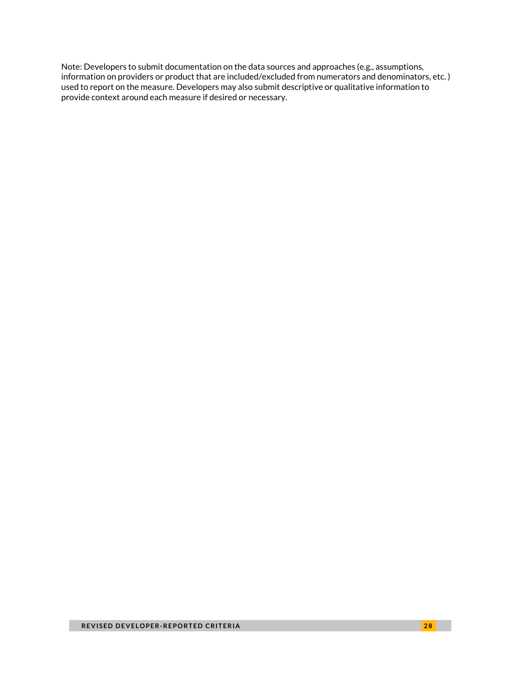Note: Developers to submit documentation on the data sources and approaches (e.g., assumptions, information on providers or product that are included/excluded from numerators and denominators, etc. ) used to report on the measure. Developers may also submit descriptive or qualitative information to provide context around each measure if desired or necessary.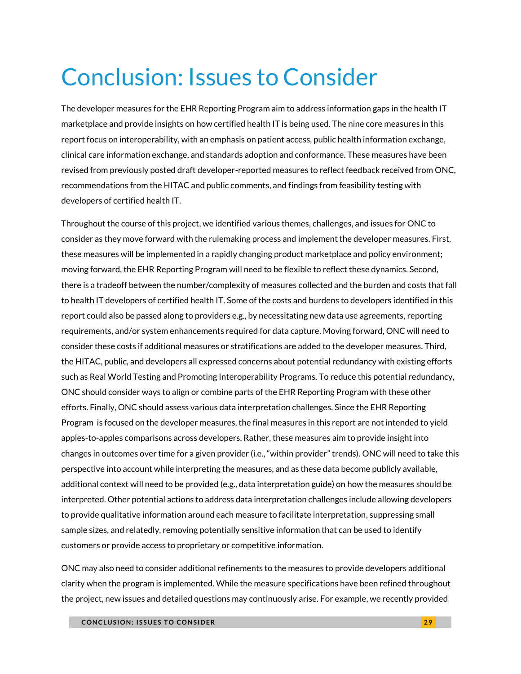# <span id="page-28-0"></span>Conclusion: Issues to Consider

The developer measures for the EHR Reporting Program aim to address information gaps in the health IT marketplace and provide insights on how certified health IT is being used. The nine core measures in this report focus on interoperability, with an emphasis on patient access, public health information exchange, clinical care information exchange, and standards adoption and conformance. These measures have been revised from previously posted draft developer-reported measures to reflect feedback received from ONC, recommendations from the HITAC and public comments, and findings from feasibility testing with developers of certified health IT.

Throughout the course of this project, we identified various themes, challenges, and issues for ONC to consider as they move forward with the rulemaking process and implement the developer measures. First, these measures will be implemented in a rapidly changing product marketplace and policy environment; moving forward, the EHR Reporting Program will need to be flexible to reflect these dynamics. Second, there is a tradeoff between the number/complexity of measures collected and the burden and costs that fall to health IT developers of certified health IT. Some of the costs and burdens to developers identified in this report could also be passed along to providers e.g., by necessitating new data use agreements, reporting requirements, and/or system enhancements required for data capture. Moving forward, ONC will need to consider these costs if additional measures or stratifications are added to the developer measures. Third, the HITAC, public, and developers all expressed concerns about potential redundancy with existing efforts such as Real World Testing and Promoting Interoperability Programs. To reduce this potential redundancy, ONC should consider ways to align or combine parts of the EHR Reporting Program with these other efforts. Finally, ONC should assess various data interpretation challenges. Since the EHR Reporting Program is focused on the developer measures, the final measures in this report are not intended to yield apples-to-apples comparisons across developers. Rather, these measures aim to provide insight into changes in outcomes over time for a given provider (i.e., "within provider" trends). ONC will need to take this perspective into account while interpreting the measures, and as these data become publicly available, additional context will need to be provided (e.g., data interpretation guide) on how the measures should be interpreted. Other potential actions to address data interpretation challenges include allowing developers to provide qualitative information around each measure to facilitate interpretation, suppressing small sample sizes, and relatedly, removing potentially sensitive information that can be used to identify customers or provide access to proprietary or competitive information.

ONC may also need to consider additional refinements to the measures to provide developers additional clarity when the program is implemented. While the measure specifications have been refined throughout the project, new issues and detailed questions may continuously arise. For example, we recently provided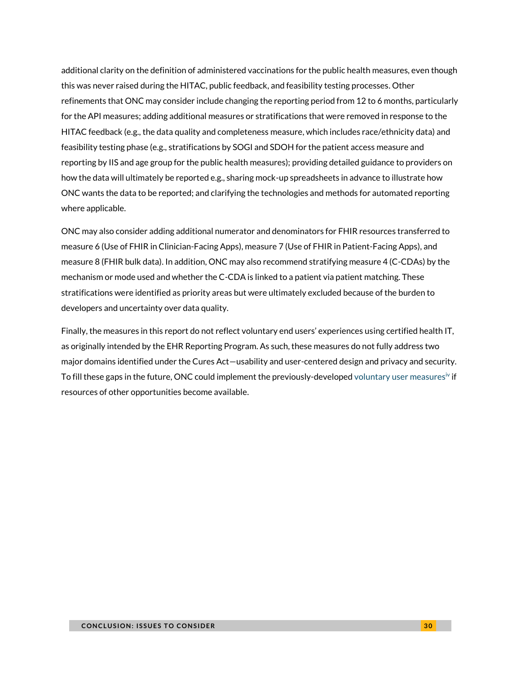additional clarity on the definition of administered vaccinations for the public health measures, even though this was never raised during the HITAC, public feedback, and feasibility testing processes. Other refinements that ONC may consider include changing the reporting period from 12 to 6 months, particularly for the API measures; adding additional measures or stratifications that were removed in response to the HITAC feedback (e.g., the data quality and completeness measure, which includes race/ethnicity data) and feasibility testing phase (e.g., stratifications by SOGI and SDOH for the patient access measure and reporting by IIS and age group for the public health measures); providing detailed guidance to providers on how the data will ultimately be reported e.g., sharing mock-up spreadsheets in advance to illustrate how ONC wants the data to be reported; and clarifying the technologies and methods for automated reporting where applicable.

ONC may also consider adding additional numerator and denominators for FHIR resources transferred to measure 6 (Use of FHIR in Clinician-Facing Apps), measure 7 (Use of FHIR in Patient-Facing Apps), and measure 8 (FHIR bulk data). In addition, ONC may also recommend stratifying measure 4 (C-CDAs) by the mechanism or mode used and whether the C-CDA is linked to a patient via patient matching. These stratifications were identified as priority areas but were ultimately excluded because of the burden to developers and uncertainty over data quality.

Finally, the measures in this report do not reflect voluntary end users' experiences using certified health IT, as originally intended by the EHR Reporting Program. As such, these measures do not fully address two major domains identified under the Cures Act—usability and user-centered design and privacy and security. To fill these gaps in the future, ONC could implement the previously-developed [voluntary user measures](https://www.urban.org/research/publication/electronic-health-record-reporting-program-voluntary-user-reported-criteria)<sup>[iv](#page-34-0)</sup> if resources of other opportunities become available.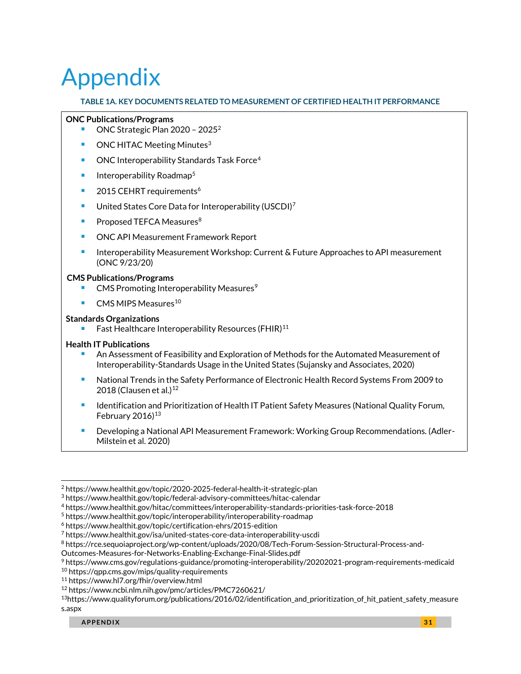# <span id="page-30-0"></span>Appendix

#### **TABLE 1A. KEY DOCUMENTS RELATED TO MEASUREMENT OF CERTIFIED HEALTH IT PERFORMANCE**

#### **ONC Publications/Programs**

- ONC Strategic Plan 2020 2025 $^2$
- $\blacksquare$  ONC HITAC Meeting Minutes<sup>3</sup>
- ONC Interoperability Standards Task Force<sup>4</sup>
- $\blacksquare$  Interoperability Roadmap<sup>5</sup>
- 2015 CEHRT requirements<sup>6</sup>
- United States Core Data for Interoperability (USCDI)<sup>7</sup>
- Proposed TEFCA Measures<sup>8</sup>
- ONC API Measurement Framework Report
- Interoperability Measurement Workshop: Current & Future Approaches to API measurement (ONC 9/23/20)

#### **CMS Publications/Programs**

- CMS Promoting Interoperability Measures<sup>9</sup>
- $\blacksquare$  CMS MIPS Measures<sup>10</sup>

#### **Standards Organizations**

Fast Healthcare Interoperability Resources (FHIR)<sup>11</sup>

#### **Health IT Publications**

- <sup>◼</sup> An Assessment of Feasibility and Exploration of Methods for the Automated Measurement of Interoperability-Standards Usage in the United States (Sujansky and Associates, 2020)
- National Trends in the Safety Performance of Electronic Health Record Systems From 2009 to 2018 (Clausen et al.) $12$
- Identification and Prioritization of Health IT Patient Safety Measures (National Quality Forum, February  $2016$ <sup>13</sup>
- Developing a National API Measurement Framework: Working Group Recommendations. (Adler-Milstein et al. 2020)

Outcomes-Measures-for-Networks-Enabling-Exchange-Final-Slides.pdf

```
9 https://www.cms.gov/regulations-guidance/promoting-interoperability/20202021-program-requirements-medicaid
```
<sup>2</sup> https://www.healthit.gov/topic/2020-2025-federal-health-it-strategic-plan

<sup>3</sup> https://www.healthit.gov/topic/federal-advisory-committees/hitac-calendar

<sup>4</sup> https://www.healthit.gov/hitac/committees/interoperability-standards-priorities-task-force-2018

<sup>5</sup> https://www.healthit.gov/topic/interoperability/interoperability-roadmap

<sup>6</sup> https://www.healthit.gov/topic/certification-ehrs/2015-edition

<sup>7</sup> https://www.healthit.gov/isa/united-states-core-data-interoperability-uscdi

<sup>8</sup> https://rce.sequoiaproject.org/wp-content/uploads/2020/08/Tech-Forum-Session-Structural-Process-and-

<sup>10</sup> https://qpp.cms.gov/mips/quality-requirements

<sup>11</sup> https://www.hl7.org/fhir/overview.html

<sup>12</sup> https://www.ncbi.nlm.nih.gov/pmc/articles/PMC7260621/

<sup>13</sup>https://www.qualityforum.org/publications/2016/02/identification\_and\_prioritization\_of\_hit\_patient\_safety\_measure s.aspx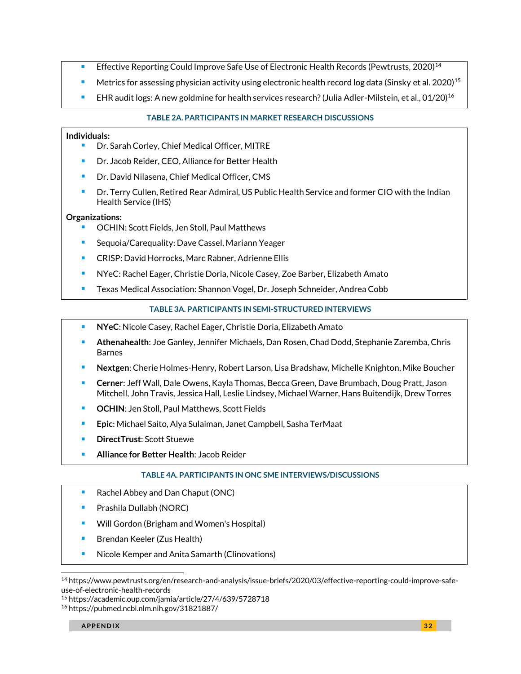- Effective Reporting Could Improve Safe Use of Electronic Health Records (Pewtrusts, 2020)<sup>14</sup>
- **■** Metrics for assessing physician activity using electronic health record log data (Sinsky et al. 2020)<sup>15</sup>
- **EHR** audit logs: A new goldmine for health services research? (Julia Adler-Milstein, et al., 01/20)<sup>16</sup>

### **TABLE 2A. PARTICIPANTS IN MARKET RESEARCH DISCUSSIONS**

### **Individuals:**

- Dr. Sarah Corley, Chief Medical Officer, MITRE
- Dr. Jacob Reider, CEO, Alliance for Better Health
- Dr. David Nilasena, Chief Medical Officer, CMS
- Dr. Terry Cullen, Retired Rear Admiral, US Public Health Service and former CIO with the Indian Health Service (IHS)

### **Organizations:**

- OCHIN: Scott Fields, Jen Stoll, Paul Matthews
- Sequoia/Carequality: Dave Cassel, Mariann Yeager
- CRISP: David Horrocks, Marc Rabner, Adrienne Ellis
- NYeC: Rachel Eager, Christie Doria, Nicole Casey, Zoe Barber, Elizabeth Amato
- Texas Medical Association: Shannon Vogel, Dr. Joseph Schneider, Andrea Cobb

### **TABLE 3A. PARTICIPANTS IN SEMI-STRUCTURED INTERVIEWS**

- **NYeC**: Nicole Casey, Rachel Eager, Christie Doria, Elizabeth Amato
- **Athenahealth**: Joe Ganley, Jennifer Michaels, Dan Rosen, Chad Dodd, Stephanie Zaremba, Chris Barnes
- <sup>◼</sup> **Nextgen**: Cherie Holmes-Henry, Robert Larson, Lisa Bradshaw, Michelle Knighton, Mike Boucher
- <sup>◼</sup> **Cerner**: Jeff Wall, Dale Owens, Kayla Thomas, Becca Green, Dave Brumbach, Doug Pratt, Jason Mitchell, John Travis, Jessica Hall, Leslie Lindsey, Michael Warner, Hans Buitendijk, Drew Torres
- **OCHIN:** Jen Stoll, Paul Matthews, Scott Fields
- **Epic**: Michael Saito, Alya Sulaiman, Janet Campbell, Sasha TerMaat
- **DirectTrust: Scott Stuewe**
- <sup>◼</sup> **Alliance for Better Health**: Jacob Reider

### **TABLE 4A. PARTICIPANTS IN ONC SME INTERVIEWS/DISCUSSIONS**

- Rachel Abbey and Dan Chaput (ONC)
- Prashila Dullabh (NORC)
- Will Gordon (Brigham and Women's Hospital)
- Brendan Keeler (Zus Health)
- Nicole Kemper and Anita Samarth (Clinovations)

<sup>14</sup> https://www.pewtrusts.org/en/research-and-analysis/issue-briefs/2020/03/effective-reporting-could-improve-safeuse-of-electronic-health-records

<sup>15</sup> https://academic.oup.com/jamia/article/27/4/639/5728718

<sup>16</sup> https://pubmed.ncbi.nlm.nih.gov/31821887/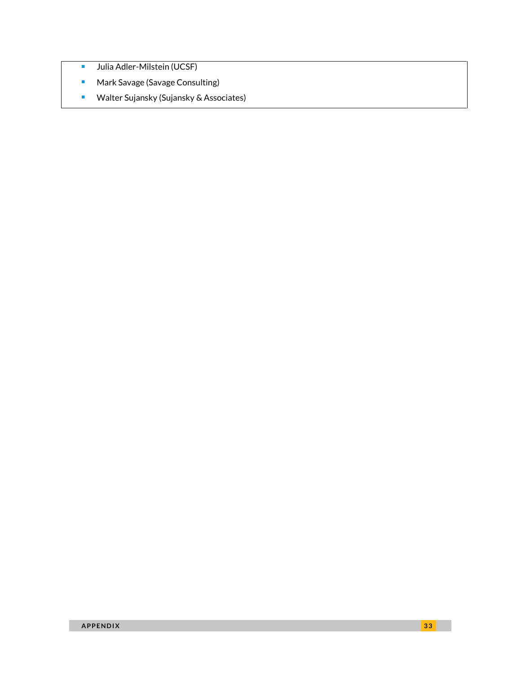- Julia Adler-Milstein (UCSF)
- Mark Savage (Savage Consulting)
- Walter Sujansky (Sujansky & Associates)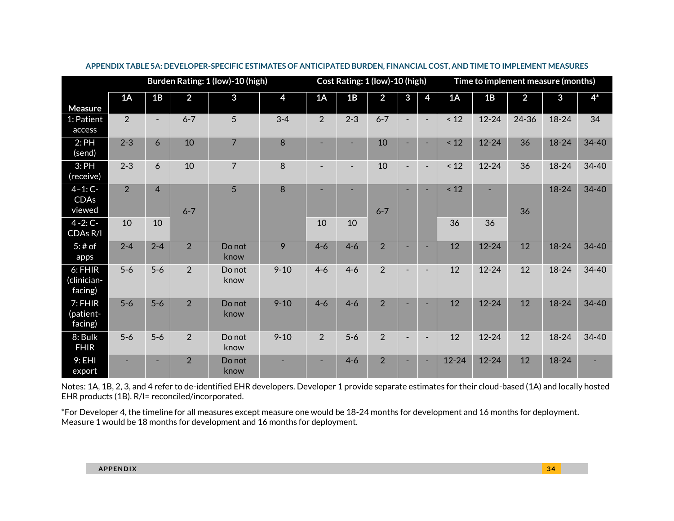|                                   | Burden Rating: 1 (low)-10 (high) |                |                |                |          |                          | Cost Rating: 1 (low)-10 (high) |                |                          |                |           | Time to implement measure (months) |                |           |           |  |
|-----------------------------------|----------------------------------|----------------|----------------|----------------|----------|--------------------------|--------------------------------|----------------|--------------------------|----------------|-----------|------------------------------------|----------------|-----------|-----------|--|
| <b>Measure</b>                    | 1A                               | 1B             | $\overline{2}$ | 3              | 4        | 1A                       | 1B                             | $\overline{2}$ | 3                        | 4              | 1A        | 1B                                 | $\overline{2}$ | 3         | $4*$      |  |
| 1: Patient<br>access              | $\overline{2}$                   | $\blacksquare$ | $6 - 7$        | 5              | $3 - 4$  | 2                        | $2 - 3$                        | $6 - 7$        |                          | $\blacksquare$ | $\leq 12$ | $12 - 24$                          | 24-36          | $18 - 24$ | 34        |  |
| 2:PH<br>(send)                    | $2 - 3$                          | 6              | 10             | $\overline{7}$ | 8        |                          | ۰                              | 10             |                          | ÷              | < 12      | $12 - 24$                          | 36             | $18 - 24$ | 34-40     |  |
| 3:PH<br>(receive)                 | $2 - 3$                          | 6              | 10             | $\overline{7}$ | 8        | $\overline{\phantom{a}}$ | $\blacksquare$                 | 10             | $\sim$                   | $\blacksquare$ | $\leq 12$ | $12 - 24$                          | 36             | $18 - 24$ | 34-40     |  |
| $4 - 1: C -$<br>CDAs<br>viewed    | 2                                | $\overline{4}$ | $6 - 7$        | 5              | 8        | $\overline{\phantom{a}}$ | ٠                              | $6 - 7$        | $\sim$                   | $\sim$         | $\leq 12$ | ۰                                  | 36             | $18 - 24$ | $34 - 40$ |  |
| $4 - 2: C -$<br>CDAs R/I          | 10                               | 10             |                |                |          | 10                       | 10                             |                |                          |                | 36        | 36                                 |                |           |           |  |
| $5:#$ of<br>apps                  | $2 - 4$                          | $2 - 4$        | 2              | Do not<br>know | 9        | $4 - 6$                  | $4 - 6$                        | $\overline{2}$ | ×.                       | ÷              | 12        | $12 - 24$                          | 12             | $18 - 24$ | $34 - 40$ |  |
| 6: FHIR<br>(clinician-<br>facing) | $5-6$                            | $5-6$          | 2              | Do not<br>know | $9 - 10$ | $4 - 6$                  | $4 - 6$                        | $\overline{2}$ | $\overline{\phantom{a}}$ | $\blacksquare$ | 12        | $12 - 24$                          | 12             | $18 - 24$ | $34 - 40$ |  |
| 7: FHIR<br>(patient-<br>facing)   | $5-6$                            | $5-6$          | $\overline{2}$ | Do not<br>know | $9 - 10$ | $4 - 6$                  | $4 - 6$                        | $\overline{2}$ |                          |                | 12        | $12 - 24$                          | 12             | $18 - 24$ | $34 - 40$ |  |
| 8: Bulk<br><b>FHIR</b>            | $5-6$                            | $5-6$          | $\overline{2}$ | Do not<br>know | $9 - 10$ | 2                        | $5-6$                          | $\overline{2}$ | $\blacksquare$           | $\blacksquare$ | 12        | $12 - 24$                          | 12             | 18-24     | $34 - 40$ |  |
| 9:EHI<br>export                   |                                  |                | 2              | Do not<br>know |          |                          | $4 - 6$                        | $\overline{2}$ |                          |                | $12 - 24$ | $12 - 24$                          | 12             | $18 - 24$ |           |  |

#### **APPENDIX TABLE 5A: DEVELOPER-SPECIFIC ESTIMATES OF ANTICIPATED BURDEN, FINANCIAL COST, AND TIME TO IMPLEMENT MEASURES**

Notes: 1A, 1B, 2, 3, and 4 refer to de-identified EHR developers. Developer 1 provide separate estimates for their cloud-based (1A) and locally hosted EHR products (1B). R/I= reconciled/incorporated.

\*For Developer 4, the timeline for all measures except measure one would be 18-24 months for development and 16 months for deployment. Measure 1 would be 18 months for development and 16 months for deployment.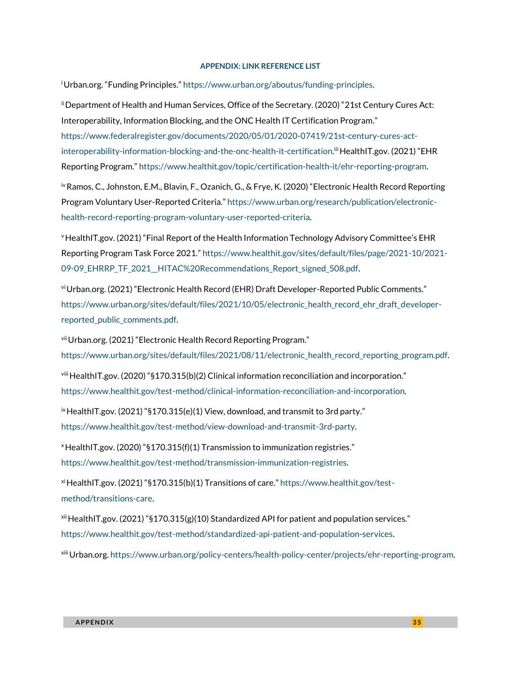#### **APPENDIX: LINK REFERENCE LIST**

<span id="page-34-0"></span><sup>i</sup>Urban.org. "Funding Principles." [https://www.urban.org/aboutus/funding-principles.](https://www.urban.org/aboutus/funding-principles)

iiDepartment of Health and Human Services, Office of the Secretary. (2020) "21st Century Cures Act: Interoperability, Information Blocking, and the ONC Health IT Certification Program." [https://www.federalregister.gov/documents/2020/05/01/2020-07419/21st-century-cures-act](https://www.federalregister.gov/documents/2020/05/01/2020-07419/21st-century-cures-act-interoperability-information-blocking-and-the-onc-health-it-certification)[interoperability-information-blocking-and-the-onc-health-it-certification.](https://www.federalregister.gov/documents/2020/05/01/2020-07419/21st-century-cures-act-interoperability-information-blocking-and-the-onc-health-it-certification)<sup>ii</sup> HealthIT.gov. (2021) "EHR Reporting Program." [https://www.healthit.gov/topic/certification-health-it/ehr-reporting-program.](https://www.healthit.gov/topic/certification-health-it/ehr-reporting-program)

<sup>iv</sup> Ramos, C., Johnston, E.M., Blavin, F., Ozanich, G., & Frye, K. (2020) "Electronic Health Record Reporting Program Voluntary User-Reported Criteria." [https://www.urban.org/research/publication/electronic](https://www.urban.org/research/publication/electronic-health-record-reporting-program-voluntary-user-reported-criteria)[health-record-reporting-program-voluntary-user-reported-criteria.](https://www.urban.org/research/publication/electronic-health-record-reporting-program-voluntary-user-reported-criteria)

<sup>v</sup>HealthIT.gov. (2021) "Final Report of the Health Information Technology Advisory Committee's EHR Reporting Program Task Force 2021." [https://www.healthit.gov/sites/default/files/page/2021-10/2021-](https://www.healthit.gov/sites/default/files/page/2021-10/2021-09-09_EHRRP_TF_2021__HITAC%20Recommendations_Report_signed_508.pdf) [09-09\\_EHRRP\\_TF\\_2021\\_\\_HITAC%20Recommendations\\_Report\\_signed\\_508.pdf.](https://www.healthit.gov/sites/default/files/page/2021-10/2021-09-09_EHRRP_TF_2021__HITAC%20Recommendations_Report_signed_508.pdf)

vi Urban.org. (2021) "Electronic Health Record (EHR) Draft Developer-Reported Public Comments." [https://www.urban.org/sites/default/files/2021/10/05/electronic\\_health\\_record\\_ehr\\_draft\\_developer](https://www.urban.org/sites/default/files/2021/10/05/electronic_health_record_ehr_draft_developer-reported_public_comments.pdf)[reported\\_public\\_comments.pdf.](https://www.urban.org/sites/default/files/2021/10/05/electronic_health_record_ehr_draft_developer-reported_public_comments.pdf)

viiUrban.org. (2021) "Electronic Health Record Reporting Program." [https://www.urban.org/sites/default/files/2021/08/11/electronic\\_health\\_record\\_reporting\\_program.pdf.](https://www.urban.org/sites/default/files/2021/08/11/electronic_health_record_reporting_program.pdf)

viii HealthIT.gov. (2020) "§170.315(b)(2) Clinical information reconciliation and incorporation." [https://www.healthit.gov/test-method/clinical-information-reconciliation-and-incorporation.](https://www.healthit.gov/test-method/clinical-information-reconciliation-and-incorporation) 

ix HealthIT.gov. (2021) "§170.315(e)(1) View, download, and transmit to 3rd party." [https://www.healthit.gov/test-method/view-download-and-transmit-3rd-party.](https://www.healthit.gov/test-method/view-download-and-transmit-3rd-party)

<sup>x</sup>HealthIT.gov. (2020) "§170.315(f)(1) Transmission to immunization registries." [https://www.healthit.gov/test-method/transmission-immunization-registries.](https://www.healthit.gov/test-method/transmission-immunization-registries) 

xi HealthIT.gov. (2021) "§170.315(b)(1) Transitions of care." [https://www.healthit.gov/test](https://www.healthit.gov/test-method/transitions-care)[method/transitions-care.](https://www.healthit.gov/test-method/transitions-care)

 $xii$  HealthIT.gov. (2021) "§170.315(g)(10) Standardized API for patient and population services." [https://www.healthit.gov/test-method/standardized-api-patient-and-population-services.](https://www.healthit.gov/test-method/standardized-api-patient-and-population-services) 

xiiiUrban.org. [https://www.urban.org/policy-centers/health-policy-center/projects/ehr-reporting-program.](https://www.urban.org/policy-centers/health-policy-center/projects/ehr-reporting-program)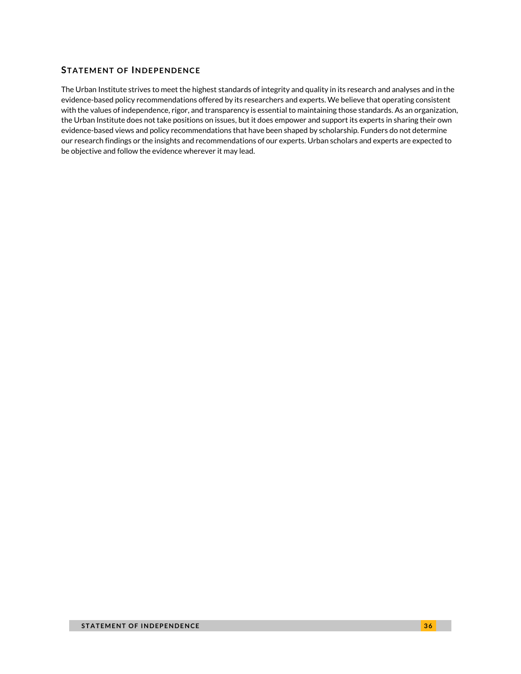### <span id="page-35-0"></span>**STATEMENT OF INDEPENDENCE**

The Urban Institute strives to meet the highest standards of integrity and quality in its research and analyses and in the evidence-based policy recommendations offered by its researchers and experts. We believe that operating consistent with the values of independence, rigor, and transparency is essential to maintaining those standards. As an organization, the Urban Institute does not take positions on issues, but it does empower and support its experts in sharing their own evidence-based views and policy recommendations that have been shaped by scholarship. Funders do not determine our research findings or the insights and recommendations of our experts. Urban scholars and experts are expected to be objective and follow the evidence wherever it may lead.